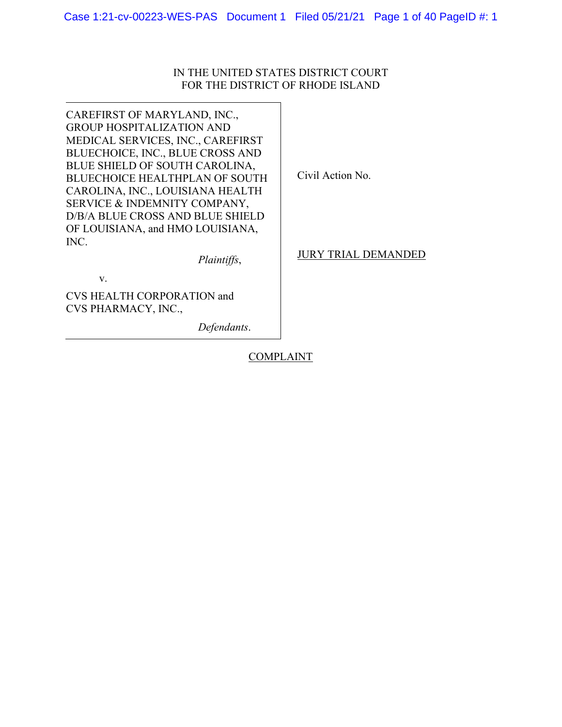# IN THE UNITED STATES DISTRICT COURT FOR THE DISTRICT OF RHODE ISLAND

CAREFIRST OF MARYLAND, INC., GROUP HOSPITALIZATION AND MEDICAL SERVICES, INC., CAREFIRST BLUECHOICE, INC., BLUE CROSS AND BLUE SHIELD OF SOUTH CAROLINA, BLUECHOICE HEALTHPLAN OF SOUTH CAROLINA, INC., LOUISIANA HEALTH SERVICE & INDEMNITY COMPANY, D/B/A BLUE CROSS AND BLUE SHIELD OF LOUISIANA, and HMO LOUISIANA, INC.

Civil Action No.

JURY TRIAL DEMANDED

v.

CVS HEALTH CORPORATION and CVS PHARMACY, INC.,

*Defendants*.

*Plaintiffs*,

**COMPLAINT**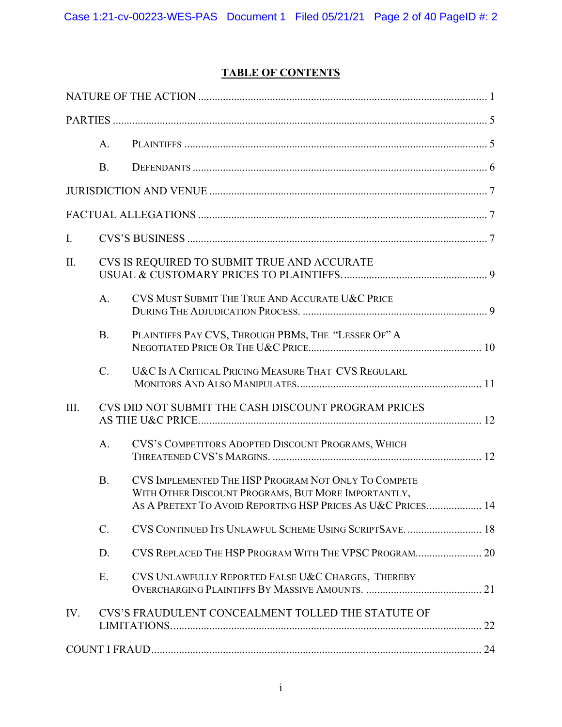# **TABLE OF CONTENTS**

|      | A.                                                  |                                                                                                                                                                           |  |  |  |  |
|------|-----------------------------------------------------|---------------------------------------------------------------------------------------------------------------------------------------------------------------------------|--|--|--|--|
|      | <b>B.</b>                                           |                                                                                                                                                                           |  |  |  |  |
|      |                                                     |                                                                                                                                                                           |  |  |  |  |
|      |                                                     |                                                                                                                                                                           |  |  |  |  |
| I.   |                                                     |                                                                                                                                                                           |  |  |  |  |
| Π.   |                                                     | CVS IS REQUIRED TO SUBMIT TRUE AND ACCURATE                                                                                                                               |  |  |  |  |
|      | A <sub>1</sub>                                      | CVS MUST SUBMIT THE TRUE AND ACCURATE U&C PRICE                                                                                                                           |  |  |  |  |
|      | <b>B.</b>                                           | PLAINTIFFS PAY CVS, THROUGH PBMS, THE "LESSER OF" A                                                                                                                       |  |  |  |  |
|      | $C$ .                                               | U&C IS A CRITICAL PRICING MEASURE THAT CVS REGULARL                                                                                                                       |  |  |  |  |
| III. | CVS DID NOT SUBMIT THE CASH DISCOUNT PROGRAM PRICES |                                                                                                                                                                           |  |  |  |  |
|      | A.                                                  | CVS'S COMPETITORS ADOPTED DISCOUNT PROGRAMS, WHICH                                                                                                                        |  |  |  |  |
|      | <b>B.</b>                                           | CVS IMPLEMENTED THE HSP PROGRAM NOT ONLY TO COMPETE<br>WITH OTHER DISCOUNT PROGRAMS, BUT MORE IMPORTANTLY,<br>AS A PRETEXT TO AVOID REPORTING HSP PRICES AS U&C PRICES 14 |  |  |  |  |
|      | $C$ .                                               | CVS CONTINUED ITS UNLAWFUL SCHEME USING SCRIPTSAVE 18                                                                                                                     |  |  |  |  |
|      | D.                                                  | CVS REPLACED THE HSP PROGRAM WITH THE VPSC PROGRAM 20                                                                                                                     |  |  |  |  |
|      | E.                                                  | CVS UNLAWFULLY REPORTED FALSE U&C CHARGES, THEREBY                                                                                                                        |  |  |  |  |
| IV.  |                                                     | CVS'S FRAUDULENT CONCEALMENT TOLLED THE STATUTE OF                                                                                                                        |  |  |  |  |
|      |                                                     |                                                                                                                                                                           |  |  |  |  |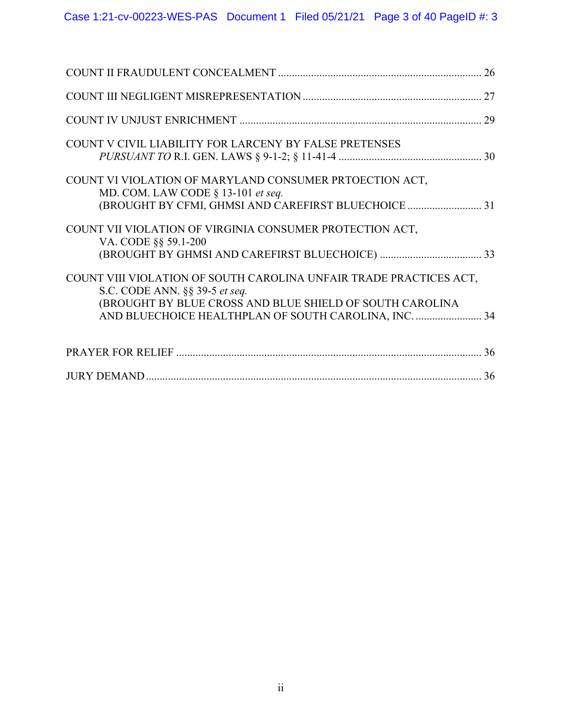| COUNT V CIVIL LIABILITY FOR LARCENY BY FALSE PRETENSES                                                                                                                                                                    |
|---------------------------------------------------------------------------------------------------------------------------------------------------------------------------------------------------------------------------|
| COUNT VI VIOLATION OF MARYLAND CONSUMER PRTOECTION ACT,<br>MD. COM. LAW CODE $\S$ 13-101 et seq.<br>(BROUGHT BY CFMI, GHMSI AND CAREFIRST BLUECHOICE  31                                                                  |
| COUNT VII VIOLATION OF VIRGINIA CONSUMER PROTECTION ACT,<br>VA. CODE §§ 59.1-200                                                                                                                                          |
| COUNT VIII VIOLATION OF SOUTH CAROLINA UNFAIR TRADE PRACTICES ACT,<br>S.C. CODE ANN. §§ 39-5 et seq.<br>(BROUGHT BY BLUE CROSS AND BLUE SHIELD OF SOUTH CAROLINA<br>AND BLUECHOICE HEALTHPLAN OF SOUTH CAROLINA, INC.  34 |
|                                                                                                                                                                                                                           |
|                                                                                                                                                                                                                           |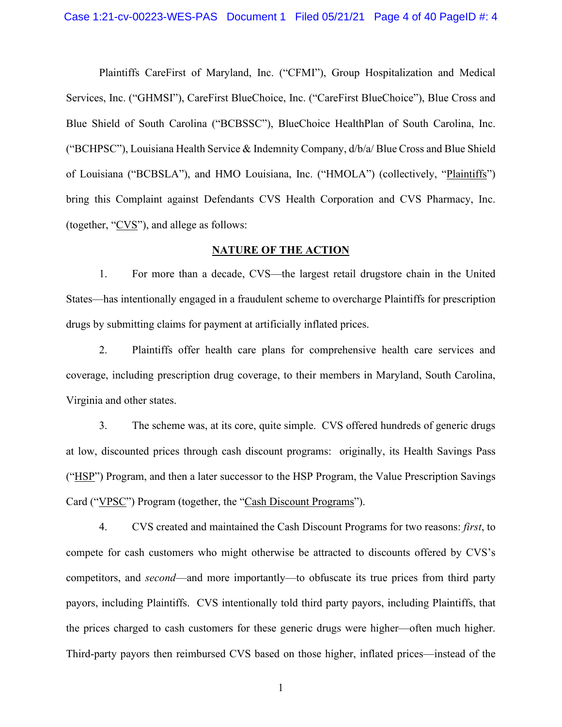Plaintiffs CareFirst of Maryland, Inc. ("CFMI"), Group Hospitalization and Medical Services, Inc. ("GHMSI"), CareFirst BlueChoice, Inc. ("CareFirst BlueChoice"), Blue Cross and Blue Shield of South Carolina ("BCBSSC"), BlueChoice HealthPlan of South Carolina, Inc. ("BCHPSC"), Louisiana Health Service & Indemnity Company, d/b/a/ Blue Cross and Blue Shield of Louisiana ("BCBSLA"), and HMO Louisiana, Inc. ("HMOLA") (collectively, "Plaintiffs") bring this Complaint against Defendants CVS Health Corporation and CVS Pharmacy, Inc. (together, "CVS"), and allege as follows:

## **NATURE OF THE ACTION**

1. For more than a decade, CVS—the largest retail drugstore chain in the United States—has intentionally engaged in a fraudulent scheme to overcharge Plaintiffs for prescription drugs by submitting claims for payment at artificially inflated prices.

2. Plaintiffs offer health care plans for comprehensive health care services and coverage, including prescription drug coverage, to their members in Maryland, South Carolina, Virginia and other states.

3. The scheme was, at its core, quite simple. CVS offered hundreds of generic drugs at low, discounted prices through cash discount programs: originally, its Health Savings Pass ("HSP") Program, and then a later successor to the HSP Program, the Value Prescription Savings Card ("VPSC") Program (together, the "Cash Discount Programs").

4. CVS created and maintained the Cash Discount Programs for two reasons: *first*, to compete for cash customers who might otherwise be attracted to discounts offered by CVS's competitors, and *second*—and more importantly—to obfuscate its true prices from third party payors, including Plaintiffs. CVS intentionally told third party payors, including Plaintiffs, that the prices charged to cash customers for these generic drugs were higher—often much higher. Third-party payors then reimbursed CVS based on those higher, inflated prices—instead of the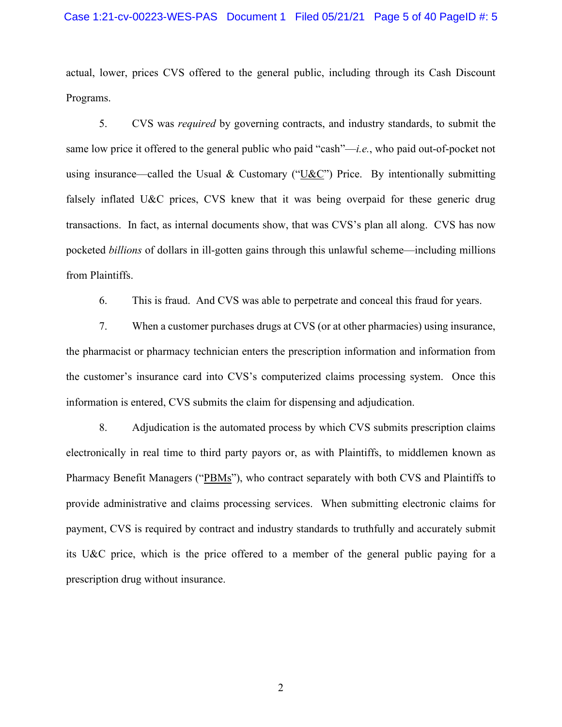actual, lower, prices CVS offered to the general public, including through its Cash Discount Programs.

5. CVS was *required* by governing contracts, and industry standards, to submit the same low price it offered to the general public who paid "cash"—*i.e.*, who paid out-of-pocket not using insurance—called the Usual & Customary ("U&C") Price. By intentionally submitting falsely inflated U&C prices, CVS knew that it was being overpaid for these generic drug transactions. In fact, as internal documents show, that was CVS's plan all along. CVS has now pocketed *billions* of dollars in ill-gotten gains through this unlawful scheme—including millions from Plaintiffs.

6. This is fraud. And CVS was able to perpetrate and conceal this fraud for years.

7. When a customer purchases drugs at CVS (or at other pharmacies) using insurance, the pharmacist or pharmacy technician enters the prescription information and information from the customer's insurance card into CVS's computerized claims processing system. Once this information is entered, CVS submits the claim for dispensing and adjudication.

8. Adjudication is the automated process by which CVS submits prescription claims electronically in real time to third party payors or, as with Plaintiffs, to middlemen known as Pharmacy Benefit Managers ("PBMs"), who contract separately with both CVS and Plaintiffs to provide administrative and claims processing services. When submitting electronic claims for payment, CVS is required by contract and industry standards to truthfully and accurately submit its U&C price, which is the price offered to a member of the general public paying for a prescription drug without insurance.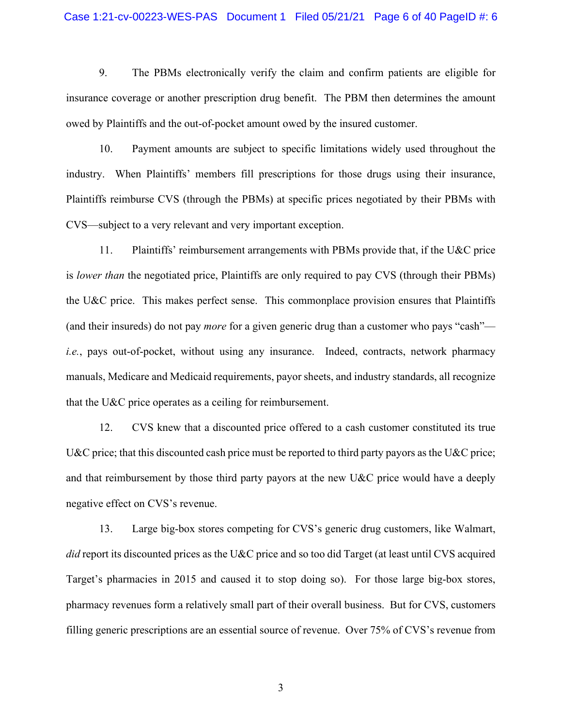#### Case 1:21-cv-00223-WES-PAS Document 1 Filed 05/21/21 Page 6 of 40 PageID #: 6

9. The PBMs electronically verify the claim and confirm patients are eligible for insurance coverage or another prescription drug benefit. The PBM then determines the amount owed by Plaintiffs and the out-of-pocket amount owed by the insured customer.

10. Payment amounts are subject to specific limitations widely used throughout the industry. When Plaintiffs' members fill prescriptions for those drugs using their insurance, Plaintiffs reimburse CVS (through the PBMs) at specific prices negotiated by their PBMs with CVS—subject to a very relevant and very important exception.

11. Plaintiffs' reimbursement arrangements with PBMs provide that, if the U&C price is *lower than* the negotiated price, Plaintiffs are only required to pay CVS (through their PBMs) the U&C price. This makes perfect sense. This commonplace provision ensures that Plaintiffs (and their insureds) do not pay *more* for a given generic drug than a customer who pays "cash" *i.e.*, pays out-of-pocket, without using any insurance. Indeed, contracts, network pharmacy manuals, Medicare and Medicaid requirements, payor sheets, and industry standards, all recognize that the U&C price operates as a ceiling for reimbursement.

12. CVS knew that a discounted price offered to a cash customer constituted its true U&C price; that this discounted cash price must be reported to third party payors as the U&C price; and that reimbursement by those third party payors at the new U&C price would have a deeply negative effect on CVS's revenue.

13. Large big-box stores competing for CVS's generic drug customers, like Walmart, *did* report its discounted prices as the U&C price and so too did Target (at least until CVS acquired Target's pharmacies in 2015 and caused it to stop doing so). For those large big-box stores, pharmacy revenues form a relatively small part of their overall business. But for CVS, customers filling generic prescriptions are an essential source of revenue. Over 75% of CVS's revenue from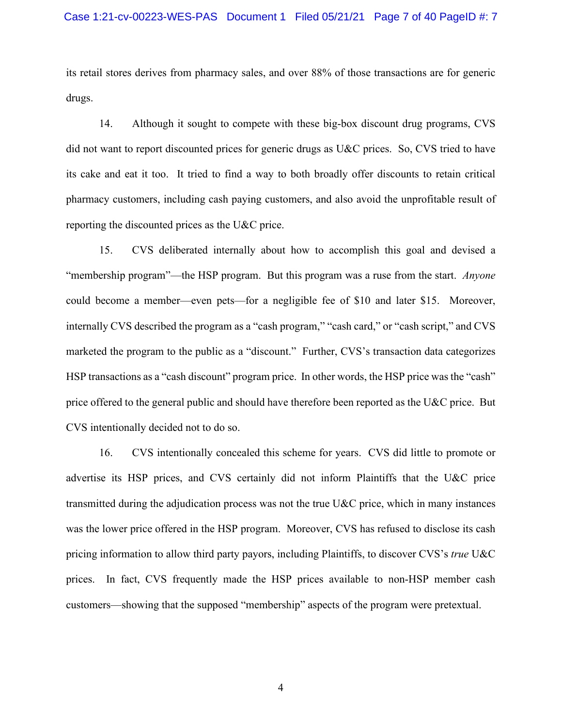its retail stores derives from pharmacy sales, and over 88% of those transactions are for generic drugs.

14. Although it sought to compete with these big-box discount drug programs, CVS did not want to report discounted prices for generic drugs as U&C prices. So, CVS tried to have its cake and eat it too. It tried to find a way to both broadly offer discounts to retain critical pharmacy customers, including cash paying customers, and also avoid the unprofitable result of reporting the discounted prices as the U&C price.

15. CVS deliberated internally about how to accomplish this goal and devised a "membership program"—the HSP program. But this program was a ruse from the start. *Anyone* could become a member—even pets—for a negligible fee of \$10 and later \$15. Moreover, internally CVS described the program as a "cash program," "cash card," or "cash script," and CVS marketed the program to the public as a "discount." Further, CVS's transaction data categorizes HSP transactions as a "cash discount" program price. In other words, the HSP price was the "cash" price offered to the general public and should have therefore been reported as the U&C price. But CVS intentionally decided not to do so.

16. CVS intentionally concealed this scheme for years. CVS did little to promote or advertise its HSP prices, and CVS certainly did not inform Plaintiffs that the U&C price transmitted during the adjudication process was not the true U&C price, which in many instances was the lower price offered in the HSP program. Moreover, CVS has refused to disclose its cash pricing information to allow third party payors, including Plaintiffs, to discover CVS's *true* U&C prices. In fact, CVS frequently made the HSP prices available to non-HSP member cash customers—showing that the supposed "membership" aspects of the program were pretextual.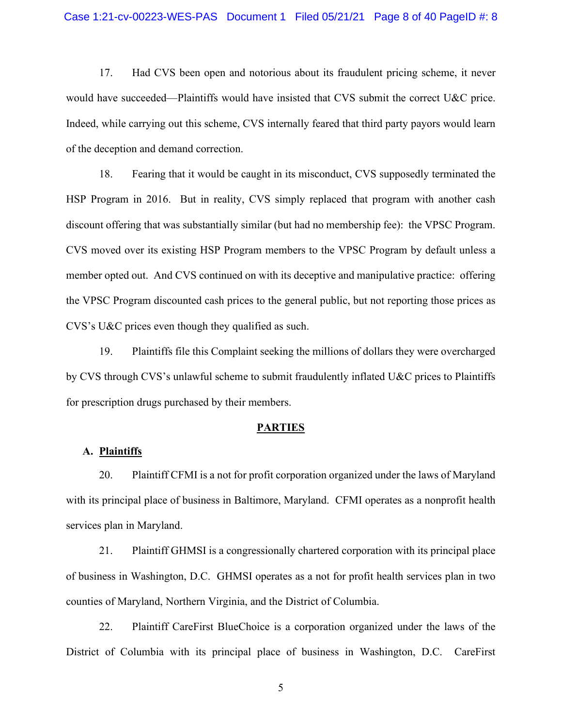17. Had CVS been open and notorious about its fraudulent pricing scheme, it never would have succeeded—Plaintiffs would have insisted that CVS submit the correct U&C price. Indeed, while carrying out this scheme, CVS internally feared that third party payors would learn of the deception and demand correction.

18. Fearing that it would be caught in its misconduct, CVS supposedly terminated the HSP Program in 2016. But in reality, CVS simply replaced that program with another cash discount offering that was substantially similar (but had no membership fee): the VPSC Program. CVS moved over its existing HSP Program members to the VPSC Program by default unless a member opted out. And CVS continued on with its deceptive and manipulative practice: offering the VPSC Program discounted cash prices to the general public, but not reporting those prices as CVS's U&C prices even though they qualified as such.

19. Plaintiffs file this Complaint seeking the millions of dollars they were overcharged by CVS through CVS's unlawful scheme to submit fraudulently inflated U&C prices to Plaintiffs for prescription drugs purchased by their members.

#### **PARTIES**

### **A. Plaintiffs**

20. Plaintiff CFMI is a not for profit corporation organized under the laws of Maryland with its principal place of business in Baltimore, Maryland. CFMI operates as a nonprofit health services plan in Maryland.

21. Plaintiff GHMSI is a congressionally chartered corporation with its principal place of business in Washington, D.C. GHMSI operates as a not for profit health services plan in two counties of Maryland, Northern Virginia, and the District of Columbia.

22. Plaintiff CareFirst BlueChoice is a corporation organized under the laws of the District of Columbia with its principal place of business in Washington, D.C. CareFirst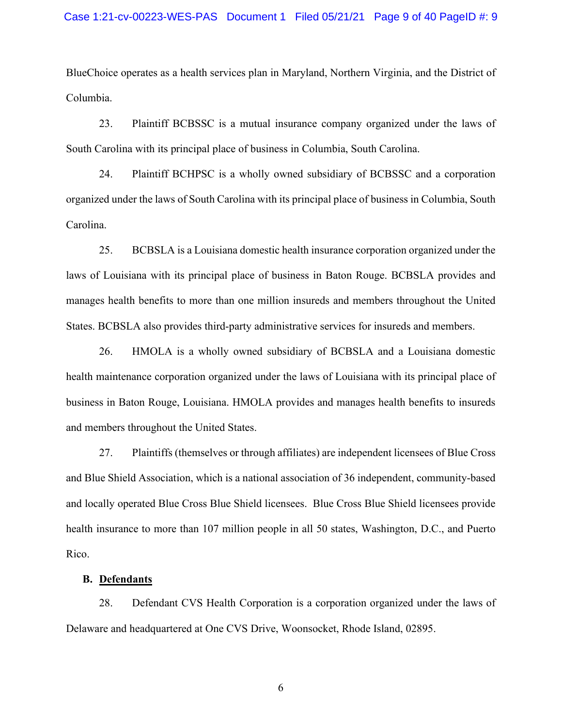BlueChoice operates as a health services plan in Maryland, Northern Virginia, and the District of Columbia.

23. Plaintiff BCBSSC is a mutual insurance company organized under the laws of South Carolina with its principal place of business in Columbia, South Carolina.

24. Plaintiff BCHPSC is a wholly owned subsidiary of BCBSSC and a corporation organized under the laws of South Carolina with its principal place of business in Columbia, South Carolina.

25. BCBSLA is a Louisiana domestic health insurance corporation organized under the laws of Louisiana with its principal place of business in Baton Rouge. BCBSLA provides and manages health benefits to more than one million insureds and members throughout the United States. BCBSLA also provides third-party administrative services for insureds and members.

26. HMOLA is a wholly owned subsidiary of BCBSLA and a Louisiana domestic health maintenance corporation organized under the laws of Louisiana with its principal place of business in Baton Rouge, Louisiana. HMOLA provides and manages health benefits to insureds and members throughout the United States.

27. Plaintiffs (themselves or through affiliates) are independent licensees of Blue Cross and Blue Shield Association, which is a national association of 36 independent, community-based and locally operated Blue Cross Blue Shield licensees. Blue Cross Blue Shield licensees provide health insurance to more than 107 million people in all 50 states, Washington, D.C., and Puerto Rico.

## **B. Defendants**

28. Defendant CVS Health Corporation is a corporation organized under the laws of Delaware and headquartered at One CVS Drive, Woonsocket, Rhode Island, 02895.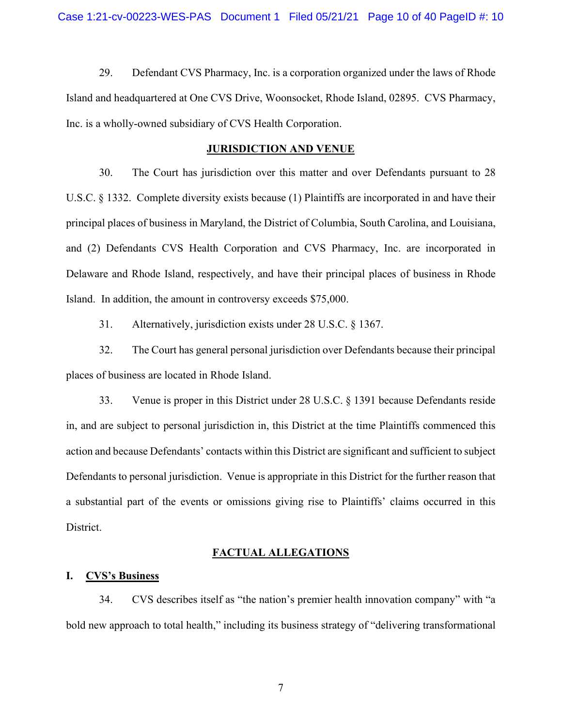29. Defendant CVS Pharmacy, Inc. is a corporation organized under the laws of Rhode Island and headquartered at One CVS Drive, Woonsocket, Rhode Island, 02895. CVS Pharmacy, Inc. is a wholly-owned subsidiary of CVS Health Corporation.

#### **JURISDICTION AND VENUE**

30. The Court has jurisdiction over this matter and over Defendants pursuant to 28 U.S.C. § 1332. Complete diversity exists because (1) Plaintiffs are incorporated in and have their principal places of business in Maryland, the District of Columbia, South Carolina, and Louisiana, and (2) Defendants CVS Health Corporation and CVS Pharmacy, Inc. are incorporated in Delaware and Rhode Island, respectively, and have their principal places of business in Rhode Island. In addition, the amount in controversy exceeds \$75,000.

31. Alternatively, jurisdiction exists under 28 U.S.C. § 1367.

32. The Court has general personal jurisdiction over Defendants because their principal places of business are located in Rhode Island.

33. Venue is proper in this District under 28 U.S.C. § 1391 because Defendants reside in, and are subject to personal jurisdiction in, this District at the time Plaintiffs commenced this action and because Defendants' contacts within this District are significant and sufficient to subject Defendants to personal jurisdiction. Venue is appropriate in this District for the further reason that a substantial part of the events or omissions giving rise to Plaintiffs' claims occurred in this District.

## **FACTUAL ALLEGATIONS**

#### **I. CVS's Business**

34. CVS describes itself as "the nation's premier health innovation company" with "a bold new approach to total health," including its business strategy of "delivering transformational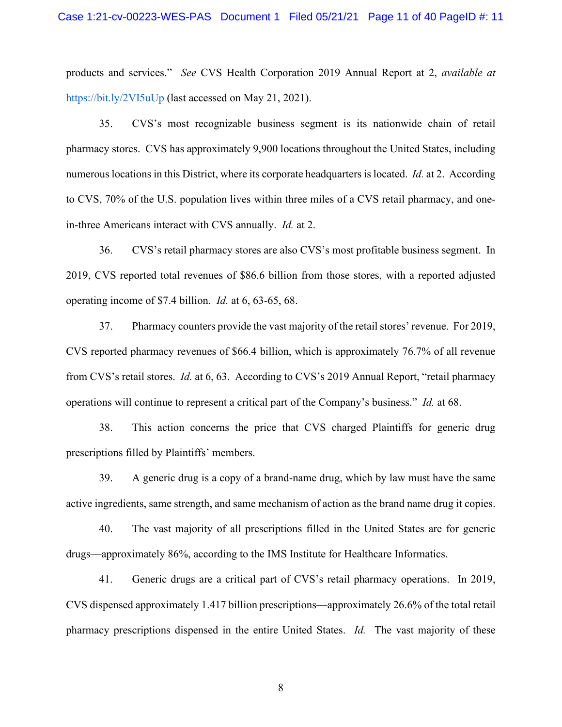products and services." *See* CVS Health Corporation 2019 Annual Report at 2, *available at* https://bit.ly/2VI5uUp (last accessed on May 21, 2021).

35. CVS's most recognizable business segment is its nationwide chain of retail pharmacy stores. CVS has approximately 9,900 locations throughout the United States, including numerous locations in this District, where its corporate headquarters is located. *Id.* at 2. According to CVS, 70% of the U.S. population lives within three miles of a CVS retail pharmacy, and onein-three Americans interact with CVS annually. *Id.* at 2.

36. CVS's retail pharmacy stores are also CVS's most profitable business segment. In 2019, CVS reported total revenues of \$86.6 billion from those stores, with a reported adjusted operating income of \$7.4 billion. *Id.* at 6, 63-65, 68.

37. Pharmacy counters provide the vast majority of the retail stores' revenue. For 2019, CVS reported pharmacy revenues of \$66.4 billion, which is approximately 76.7% of all revenue from CVS's retail stores. *Id.* at 6, 63. According to CVS's 2019 Annual Report, "retail pharmacy operations will continue to represent a critical part of the Company's business." *Id.* at 68.

38. This action concerns the price that CVS charged Plaintiffs for generic drug prescriptions filled by Plaintiffs' members.

39. A generic drug is a copy of a brand-name drug, which by law must have the same active ingredients, same strength, and same mechanism of action as the brand name drug it copies.

40. The vast majority of all prescriptions filled in the United States are for generic drugs—approximately 86%, according to the IMS Institute for Healthcare Informatics.

41. Generic drugs are a critical part of CVS's retail pharmacy operations. In 2019, CVS dispensed approximately 1.417 billion prescriptions—approximately 26.6% of the total retail pharmacy prescriptions dispensed in the entire United States. *Id.* The vast majority of these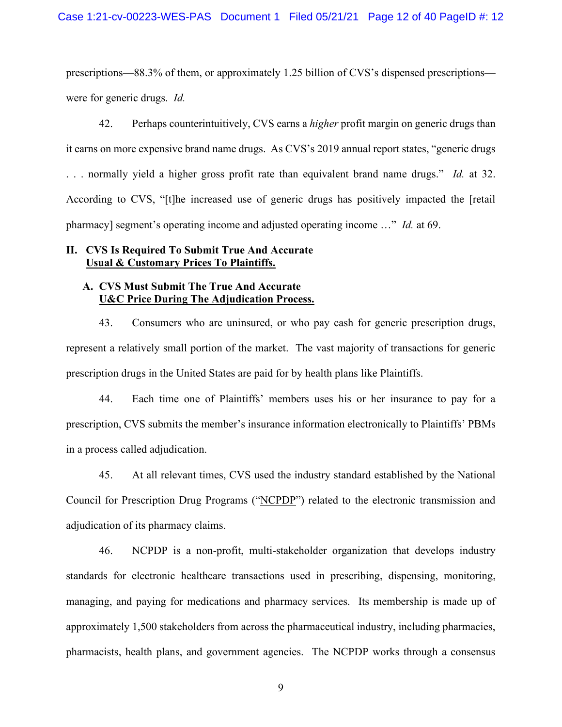prescriptions—88.3% of them, or approximately 1.25 billion of CVS's dispensed prescriptions were for generic drugs. *Id.*

42. Perhaps counterintuitively, CVS earns a *higher* profit margin on generic drugs than it earns on more expensive brand name drugs. As CVS's 2019 annual report states, "generic drugs . . . normally yield a higher gross profit rate than equivalent brand name drugs." *Id.* at 32. According to CVS, "[t]he increased use of generic drugs has positively impacted the [retail pharmacy] segment's operating income and adjusted operating income …" *Id.* at 69.

# **II. CVS Is Required To Submit True And Accurate Usual & Customary Prices To Plaintiffs.**

# **A. CVS Must Submit The True And Accurate U&C Price During The Adjudication Process.**

43. Consumers who are uninsured, or who pay cash for generic prescription drugs, represent a relatively small portion of the market. The vast majority of transactions for generic prescription drugs in the United States are paid for by health plans like Plaintiffs.

44. Each time one of Plaintiffs' members uses his or her insurance to pay for a prescription, CVS submits the member's insurance information electronically to Plaintiffs' PBMs in a process called adjudication.

45. At all relevant times, CVS used the industry standard established by the National Council for Prescription Drug Programs ("NCPDP") related to the electronic transmission and adjudication of its pharmacy claims.

46. NCPDP is a non-profit, multi-stakeholder organization that develops industry standards for electronic healthcare transactions used in prescribing, dispensing, monitoring, managing, and paying for medications and pharmacy services. Its membership is made up of approximately 1,500 stakeholders from across the pharmaceutical industry, including pharmacies, pharmacists, health plans, and government agencies. The NCPDP works through a consensus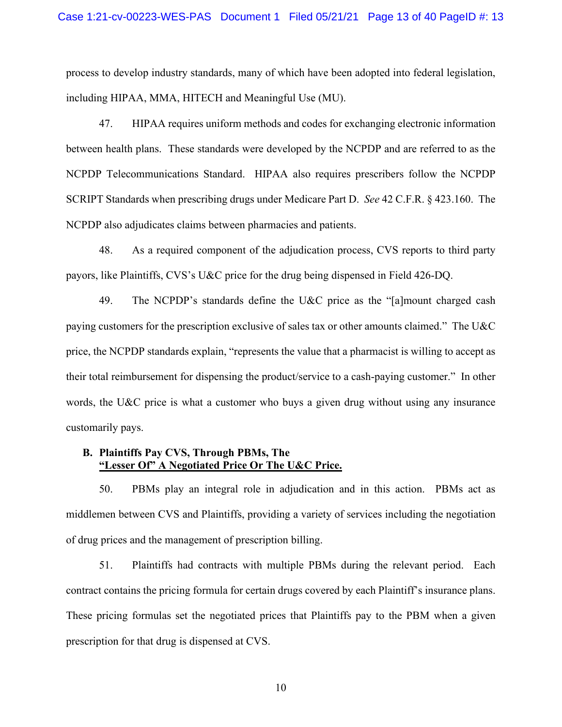process to develop industry standards, many of which have been adopted into federal legislation, including HIPAA, MMA, HITECH and Meaningful Use (MU).

47. HIPAA requires uniform methods and codes for exchanging electronic information between health plans. These standards were developed by the NCPDP and are referred to as the NCPDP Telecommunications Standard. HIPAA also requires prescribers follow the NCPDP SCRIPT Standards when prescribing drugs under Medicare Part D. *See* 42 C.F.R. § 423.160. The NCPDP also adjudicates claims between pharmacies and patients.

48. As a required component of the adjudication process, CVS reports to third party payors, like Plaintiffs, CVS's U&C price for the drug being dispensed in Field 426-DQ.

49. The NCPDP's standards define the U&C price as the "[a]mount charged cash paying customers for the prescription exclusive of sales tax or other amounts claimed." The U&C price, the NCPDP standards explain, "represents the value that a pharmacist is willing to accept as their total reimbursement for dispensing the product/service to a cash-paying customer." In other words, the U&C price is what a customer who buys a given drug without using any insurance customarily pays.

# **B. Plaintiffs Pay CVS, Through PBMs, The "Lesser Of" A Negotiated Price Or The U&C Price.**

50. PBMs play an integral role in adjudication and in this action. PBMs act as middlemen between CVS and Plaintiffs, providing a variety of services including the negotiation of drug prices and the management of prescription billing.

51. Plaintiffs had contracts with multiple PBMs during the relevant period. Each contract contains the pricing formula for certain drugs covered by each Plaintiff's insurance plans. These pricing formulas set the negotiated prices that Plaintiffs pay to the PBM when a given prescription for that drug is dispensed at CVS.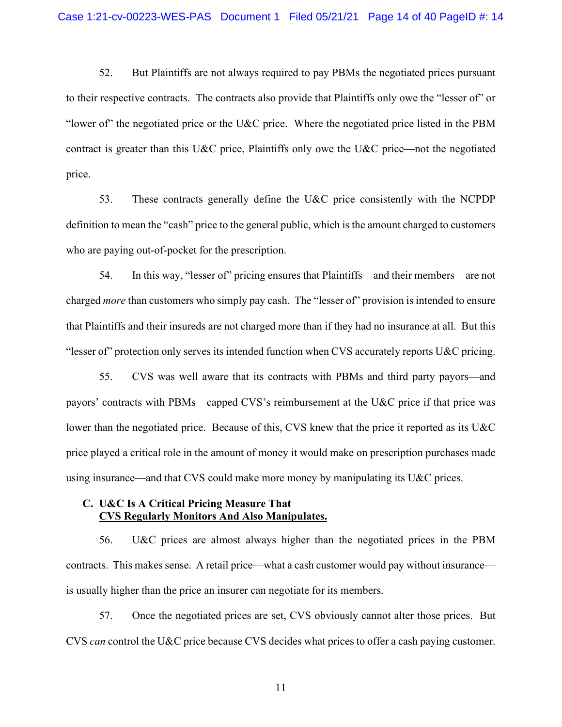52. But Plaintiffs are not always required to pay PBMs the negotiated prices pursuant to their respective contracts. The contracts also provide that Plaintiffs only owe the "lesser of" or "lower of" the negotiated price or the U&C price. Where the negotiated price listed in the PBM contract is greater than this U&C price, Plaintiffs only owe the U&C price—not the negotiated price.

53. These contracts generally define the U&C price consistently with the NCPDP definition to mean the "cash" price to the general public, which is the amount charged to customers who are paying out-of-pocket for the prescription.

54. In this way, "lesser of" pricing ensures that Plaintiffs—and their members—are not charged *more* than customers who simply pay cash. The "lesser of" provision is intended to ensure that Plaintiffs and their insureds are not charged more than if they had no insurance at all. But this "lesser of" protection only serves its intended function when CVS accurately reports  $U&C$  pricing.

55. CVS was well aware that its contracts with PBMs and third party payors—and payors' contracts with PBMs—capped CVS's reimbursement at the U&C price if that price was lower than the negotiated price. Because of this, CVS knew that the price it reported as its U&C price played a critical role in the amount of money it would make on prescription purchases made using insurance—and that CVS could make more money by manipulating its U&C prices.

# **C. U&C Is A Critical Pricing Measure That CVS Regularly Monitors And Also Manipulates.**

56. U&C prices are almost always higher than the negotiated prices in the PBM contracts. This makes sense. A retail price—what a cash customer would pay without insurance is usually higher than the price an insurer can negotiate for its members.

57. Once the negotiated prices are set, CVS obviously cannot alter those prices. But CVS *can* control the U&C price because CVS decides what prices to offer a cash paying customer.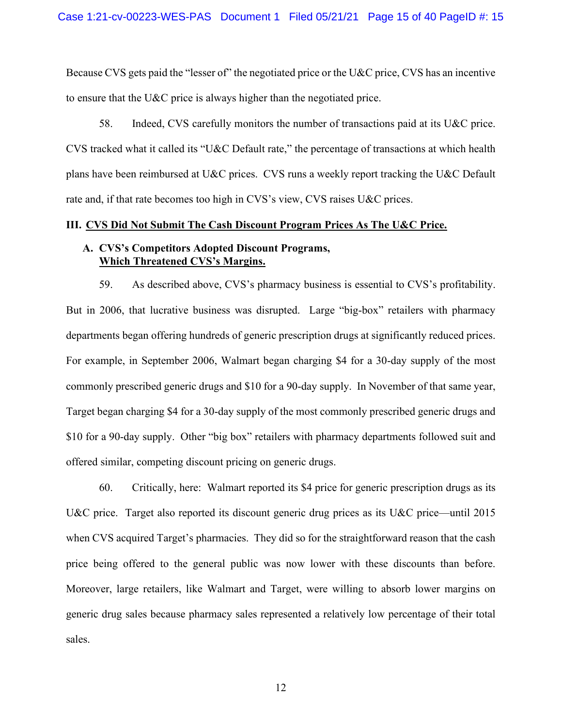Because CVS gets paid the "lesser of" the negotiated price or the U&C price, CVS has an incentive to ensure that the U&C price is always higher than the negotiated price.

58. Indeed, CVS carefully monitors the number of transactions paid at its U&C price. CVS tracked what it called its "U&C Default rate," the percentage of transactions at which health plans have been reimbursed at U&C prices. CVS runs a weekly report tracking the U&C Default rate and, if that rate becomes too high in CVS's view, CVS raises U&C prices.

#### **III. CVS Did Not Submit The Cash Discount Program Prices As The U&C Price.**

# **A. CVS's Competitors Adopted Discount Programs, Which Threatened CVS's Margins.**

59. As described above, CVS's pharmacy business is essential to CVS's profitability. But in 2006, that lucrative business was disrupted. Large "big-box" retailers with pharmacy departments began offering hundreds of generic prescription drugs at significantly reduced prices. For example, in September 2006, Walmart began charging \$4 for a 30-day supply of the most commonly prescribed generic drugs and \$10 for a 90-day supply. In November of that same year, Target began charging \$4 for a 30-day supply of the most commonly prescribed generic drugs and \$10 for a 90-day supply. Other "big box" retailers with pharmacy departments followed suit and offered similar, competing discount pricing on generic drugs.

60. Critically, here: Walmart reported its \$4 price for generic prescription drugs as its U&C price. Target also reported its discount generic drug prices as its U&C price—until 2015 when CVS acquired Target's pharmacies. They did so for the straightforward reason that the cash price being offered to the general public was now lower with these discounts than before. Moreover, large retailers, like Walmart and Target, were willing to absorb lower margins on generic drug sales because pharmacy sales represented a relatively low percentage of their total sales.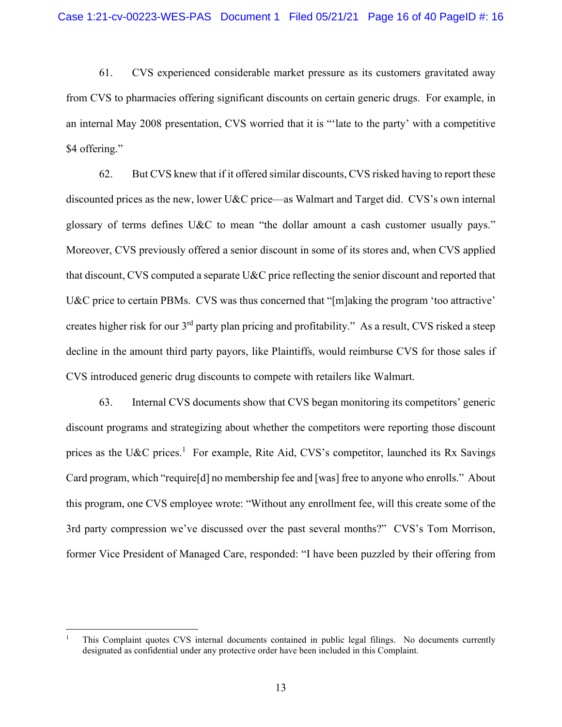61. CVS experienced considerable market pressure as its customers gravitated away from CVS to pharmacies offering significant discounts on certain generic drugs. For example, in an internal May 2008 presentation, CVS worried that it is "'late to the party' with a competitive \$4 offering."

62. But CVS knew that if it offered similar discounts, CVS risked having to report these discounted prices as the new, lower U&C price—as Walmart and Target did. CVS's own internal glossary of terms defines U&C to mean "the dollar amount a cash customer usually pays." Moreover, CVS previously offered a senior discount in some of its stores and, when CVS applied that discount, CVS computed a separate U&C price reflecting the senior discount and reported that U&C price to certain PBMs. CVS was thus concerned that "[m]aking the program 'too attractive' creates higher risk for our 3rd party plan pricing and profitability." As a result, CVS risked a steep decline in the amount third party payors, like Plaintiffs, would reimburse CVS for those sales if CVS introduced generic drug discounts to compete with retailers like Walmart.

63. Internal CVS documents show that CVS began monitoring its competitors' generic discount programs and strategizing about whether the competitors were reporting those discount prices as the U&C prices.<sup>1</sup> For example, Rite Aid, CVS's competitor, launched its Rx Savings Card program, which "require[d] no membership fee and [was] free to anyone who enrolls." About this program, one CVS employee wrote: "Without any enrollment fee, will this create some of the 3rd party compression we've discussed over the past several months?" CVS's Tom Morrison, former Vice President of Managed Care, responded: "I have been puzzled by their offering from

<sup>1</sup> This Complaint quotes CVS internal documents contained in public legal filings. No documents currently designated as confidential under any protective order have been included in this Complaint.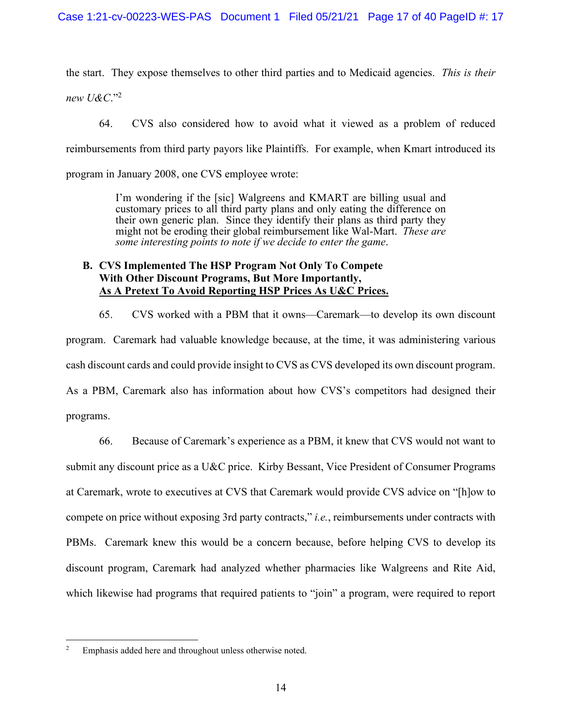the start. They expose themselves to other third parties and to Medicaid agencies. *This is their new U&C*."2

64. CVS also considered how to avoid what it viewed as a problem of reduced reimbursements from third party payors like Plaintiffs. For example, when Kmart introduced its program in January 2008, one CVS employee wrote:

> I'm wondering if the [sic] Walgreens and KMART are billing usual and customary prices to all third party plans and only eating the difference on their own generic plan. Since they identify their plans as third party they might not be eroding their global reimbursement like Wal-Mart. *These are some interesting points to note if we decide to enter the game*.

# **B. CVS Implemented The HSP Program Not Only To Compete With Other Discount Programs, But More Importantly, As A Pretext To Avoid Reporting HSP Prices As U&C Prices.**

65. CVS worked with a PBM that it owns—Caremark—to develop its own discount program. Caremark had valuable knowledge because, at the time, it was administering various cash discount cards and could provide insight to CVS as CVS developed its own discount program. As a PBM, Caremark also has information about how CVS's competitors had designed their programs.

66. Because of Caremark's experience as a PBM, it knew that CVS would not want to submit any discount price as a U&C price. Kirby Bessant, Vice President of Consumer Programs at Caremark, wrote to executives at CVS that Caremark would provide CVS advice on "[h]ow to compete on price without exposing 3rd party contracts," *i.e.*, reimbursements under contracts with PBMs. Caremark knew this would be a concern because, before helping CVS to develop its discount program, Caremark had analyzed whether pharmacies like Walgreens and Rite Aid, which likewise had programs that required patients to "join" a program, were required to report

<sup>2</sup> Emphasis added here and throughout unless otherwise noted.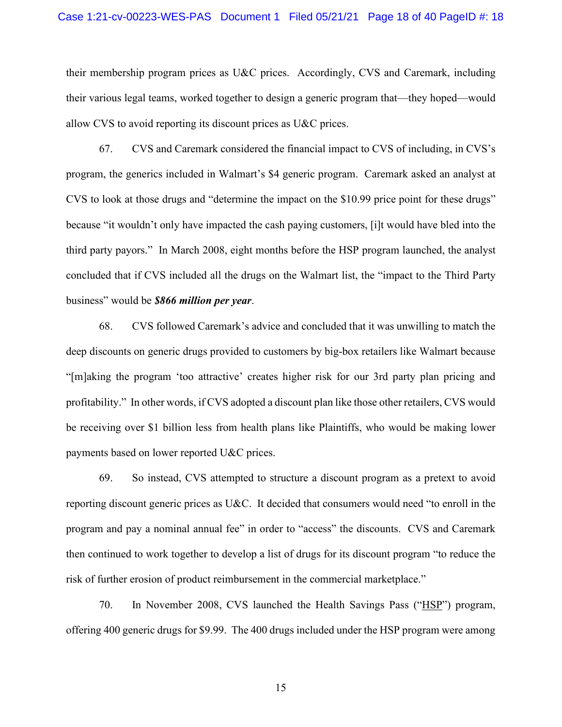#### Case 1:21-cv-00223-WES-PAS Document 1 Filed 05/21/21 Page 18 of 40 PageID #: 18

their membership program prices as U&C prices. Accordingly, CVS and Caremark, including their various legal teams, worked together to design a generic program that—they hoped—would allow CVS to avoid reporting its discount prices as U&C prices.

67. CVS and Caremark considered the financial impact to CVS of including, in CVS's program, the generics included in Walmart's \$4 generic program. Caremark asked an analyst at CVS to look at those drugs and "determine the impact on the \$10.99 price point for these drugs" because "it wouldn't only have impacted the cash paying customers, [i]t would have bled into the third party payors." In March 2008, eight months before the HSP program launched, the analyst concluded that if CVS included all the drugs on the Walmart list, the "impact to the Third Party business" would be *\$866 million per year*.

68. CVS followed Caremark's advice and concluded that it was unwilling to match the deep discounts on generic drugs provided to customers by big-box retailers like Walmart because "[m]aking the program 'too attractive' creates higher risk for our 3rd party plan pricing and profitability." In other words, if CVS adopted a discount plan like those other retailers, CVS would be receiving over \$1 billion less from health plans like Plaintiffs, who would be making lower payments based on lower reported U&C prices.

69. So instead, CVS attempted to structure a discount program as a pretext to avoid reporting discount generic prices as U&C. It decided that consumers would need "to enroll in the program and pay a nominal annual fee" in order to "access" the discounts. CVS and Caremark then continued to work together to develop a list of drugs for its discount program "to reduce the risk of further erosion of product reimbursement in the commercial marketplace."

70. In November 2008, CVS launched the Health Savings Pass ("HSP") program, offering 400 generic drugs for \$9.99. The 400 drugs included under the HSP program were among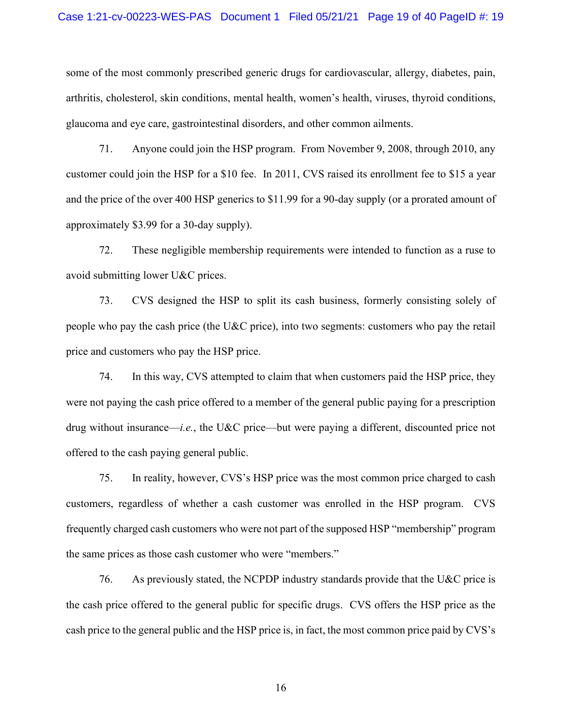some of the most commonly prescribed generic drugs for cardiovascular, allergy, diabetes, pain, arthritis, cholesterol, skin conditions, mental health, women's health, viruses, thyroid conditions, glaucoma and eye care, gastrointestinal disorders, and other common ailments.

71. Anyone could join the HSP program. From November 9, 2008, through 2010, any customer could join the HSP for a \$10 fee. In 2011, CVS raised its enrollment fee to \$15 a year and the price of the over 400 HSP generics to \$11.99 for a 90-day supply (or a prorated amount of approximately \$3.99 for a 30-day supply).

72. These negligible membership requirements were intended to function as a ruse to avoid submitting lower U&C prices.

73. CVS designed the HSP to split its cash business, formerly consisting solely of people who pay the cash price (the U&C price), into two segments: customers who pay the retail price and customers who pay the HSP price.

74. In this way, CVS attempted to claim that when customers paid the HSP price, they were not paying the cash price offered to a member of the general public paying for a prescription drug without insurance—*i.e.*, the U&C price—but were paying a different, discounted price not offered to the cash paying general public.

75. In reality, however, CVS's HSP price was the most common price charged to cash customers, regardless of whether a cash customer was enrolled in the HSP program. CVS frequently charged cash customers who were not part of the supposed HSP "membership" program the same prices as those cash customer who were "members."

76. As previously stated, the NCPDP industry standards provide that the U&C price is the cash price offered to the general public for specific drugs. CVS offers the HSP price as the cash price to the general public and the HSP price is, in fact, the most common price paid by CVS's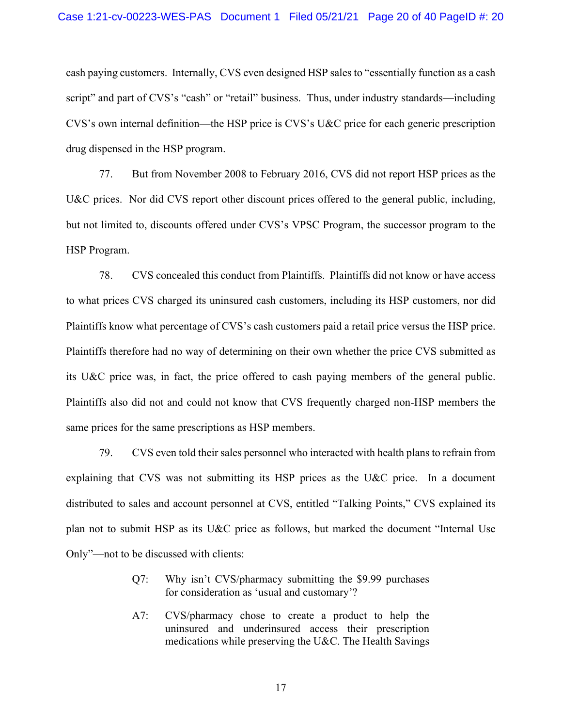cash paying customers. Internally, CVS even designed HSP sales to "essentially function as a cash script" and part of CVS's "cash" or "retail" business. Thus, under industry standards—including CVS's own internal definition—the HSP price is CVS's U&C price for each generic prescription drug dispensed in the HSP program.

77. But from November 2008 to February 2016, CVS did not report HSP prices as the U&C prices. Nor did CVS report other discount prices offered to the general public, including, but not limited to, discounts offered under CVS's VPSC Program, the successor program to the HSP Program.

78. CVS concealed this conduct from Plaintiffs. Plaintiffs did not know or have access to what prices CVS charged its uninsured cash customers, including its HSP customers, nor did Plaintiffs know what percentage of CVS's cash customers paid a retail price versus the HSP price. Plaintiffs therefore had no way of determining on their own whether the price CVS submitted as its U&C price was, in fact, the price offered to cash paying members of the general public. Plaintiffs also did not and could not know that CVS frequently charged non-HSP members the same prices for the same prescriptions as HSP members.

79. CVS even told their sales personnel who interacted with health plans to refrain from explaining that CVS was not submitting its HSP prices as the U&C price. In a document distributed to sales and account personnel at CVS, entitled "Talking Points," CVS explained its plan not to submit HSP as its U&C price as follows, but marked the document "Internal Use Only"—not to be discussed with clients:

- Q7: Why isn't CVS/pharmacy submitting the \$9.99 purchases for consideration as 'usual and customary'?
- A7: CVS/pharmacy chose to create a product to help the uninsured and underinsured access their prescription medications while preserving the U&C. The Health Savings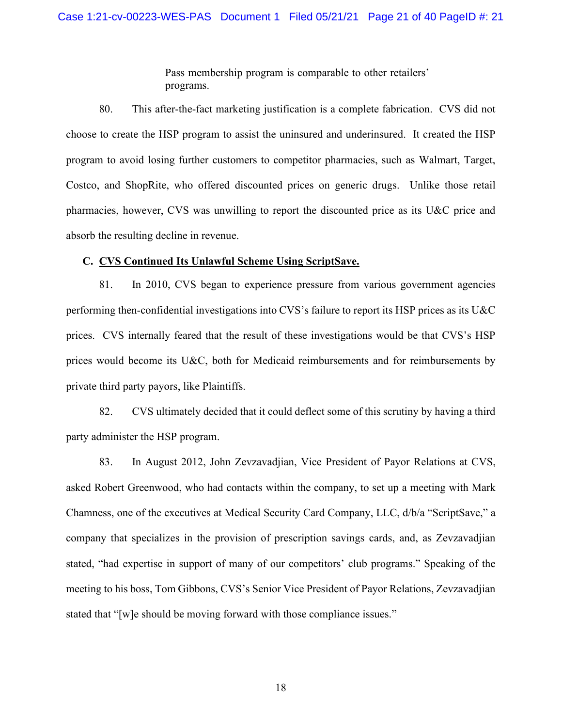Pass membership program is comparable to other retailers' programs.

80. This after-the-fact marketing justification is a complete fabrication. CVS did not choose to create the HSP program to assist the uninsured and underinsured. It created the HSP program to avoid losing further customers to competitor pharmacies, such as Walmart, Target, Costco, and ShopRite, who offered discounted prices on generic drugs. Unlike those retail pharmacies, however, CVS was unwilling to report the discounted price as its U&C price and absorb the resulting decline in revenue.

#### **C. CVS Continued Its Unlawful Scheme Using ScriptSave.**

81. In 2010, CVS began to experience pressure from various government agencies performing then-confidential investigations into CVS's failure to report its HSP prices as its U&C prices. CVS internally feared that the result of these investigations would be that CVS's HSP prices would become its U&C, both for Medicaid reimbursements and for reimbursements by private third party payors, like Plaintiffs.

82. CVS ultimately decided that it could deflect some of this scrutiny by having a third party administer the HSP program.

83. In August 2012, John Zevzavadjian, Vice President of Payor Relations at CVS, asked Robert Greenwood, who had contacts within the company, to set up a meeting with Mark Chamness, one of the executives at Medical Security Card Company, LLC, d/b/a "ScriptSave," a company that specializes in the provision of prescription savings cards, and, as Zevzavadjian stated, "had expertise in support of many of our competitors' club programs." Speaking of the meeting to his boss, Tom Gibbons, CVS's Senior Vice President of Payor Relations, Zevzavadjian stated that "[w]e should be moving forward with those compliance issues."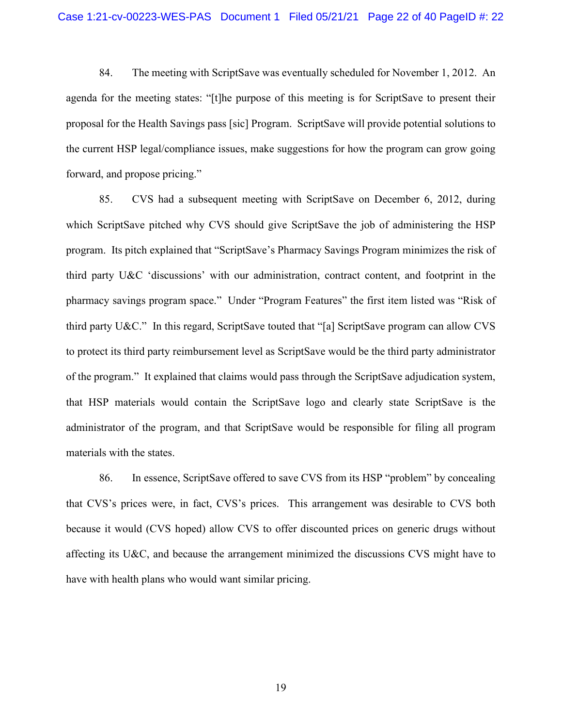84. The meeting with ScriptSave was eventually scheduled for November 1, 2012. An agenda for the meeting states: "[t]he purpose of this meeting is for ScriptSave to present their proposal for the Health Savings pass [sic] Program. ScriptSave will provide potential solutions to the current HSP legal/compliance issues, make suggestions for how the program can grow going forward, and propose pricing."

85. CVS had a subsequent meeting with ScriptSave on December 6, 2012, during which ScriptSave pitched why CVS should give ScriptSave the job of administering the HSP program. Its pitch explained that "ScriptSave's Pharmacy Savings Program minimizes the risk of third party U&C 'discussions' with our administration, contract content, and footprint in the pharmacy savings program space." Under "Program Features" the first item listed was "Risk of third party U&C." In this regard, ScriptSave touted that "[a] ScriptSave program can allow CVS to protect its third party reimbursement level as ScriptSave would be the third party administrator of the program." It explained that claims would pass through the ScriptSave adjudication system, that HSP materials would contain the ScriptSave logo and clearly state ScriptSave is the administrator of the program, and that ScriptSave would be responsible for filing all program materials with the states.

86. In essence, ScriptSave offered to save CVS from its HSP "problem" by concealing that CVS's prices were, in fact, CVS's prices. This arrangement was desirable to CVS both because it would (CVS hoped) allow CVS to offer discounted prices on generic drugs without affecting its U&C, and because the arrangement minimized the discussions CVS might have to have with health plans who would want similar pricing.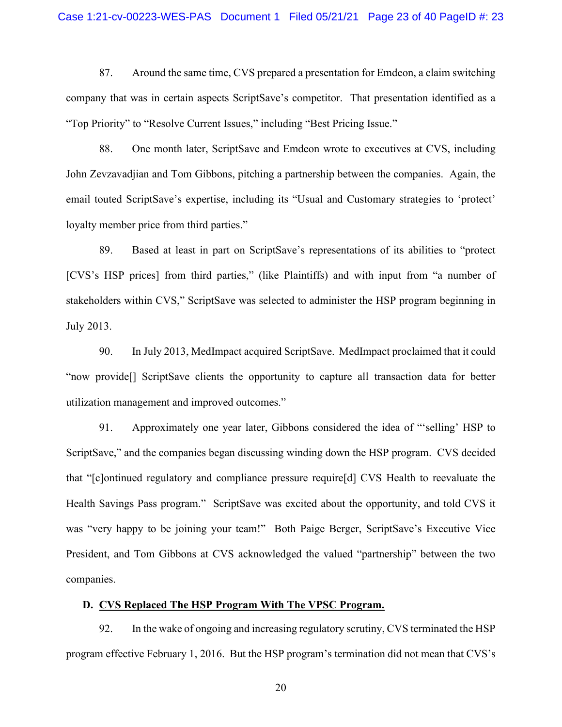#### Case 1:21-cv-00223-WES-PAS Document 1 Filed 05/21/21 Page 23 of 40 PageID #: 23

87. Around the same time, CVS prepared a presentation for Emdeon, a claim switching company that was in certain aspects ScriptSave's competitor. That presentation identified as a "Top Priority" to "Resolve Current Issues," including "Best Pricing Issue."

88. One month later, ScriptSave and Emdeon wrote to executives at CVS, including John Zevzavadjian and Tom Gibbons, pitching a partnership between the companies. Again, the email touted ScriptSave's expertise, including its "Usual and Customary strategies to 'protect' loyalty member price from third parties."

89. Based at least in part on ScriptSave's representations of its abilities to "protect [CVS's HSP prices] from third parties," (like Plaintiffs) and with input from "a number of stakeholders within CVS," ScriptSave was selected to administer the HSP program beginning in July 2013.

90. In July 2013, MedImpact acquired ScriptSave. MedImpact proclaimed that it could "now provide[] ScriptSave clients the opportunity to capture all transaction data for better utilization management and improved outcomes."

91. Approximately one year later, Gibbons considered the idea of "'selling' HSP to ScriptSave," and the companies began discussing winding down the HSP program. CVS decided that "[c]ontinued regulatory and compliance pressure require[d] CVS Health to reevaluate the Health Savings Pass program." ScriptSave was excited about the opportunity, and told CVS it was "very happy to be joining your team!" Both Paige Berger, ScriptSave's Executive Vice President, and Tom Gibbons at CVS acknowledged the valued "partnership" between the two companies.

# **D. CVS Replaced The HSP Program With The VPSC Program.**

92. In the wake of ongoing and increasing regulatory scrutiny, CVS terminated the HSP program effective February 1, 2016. But the HSP program's termination did not mean that CVS's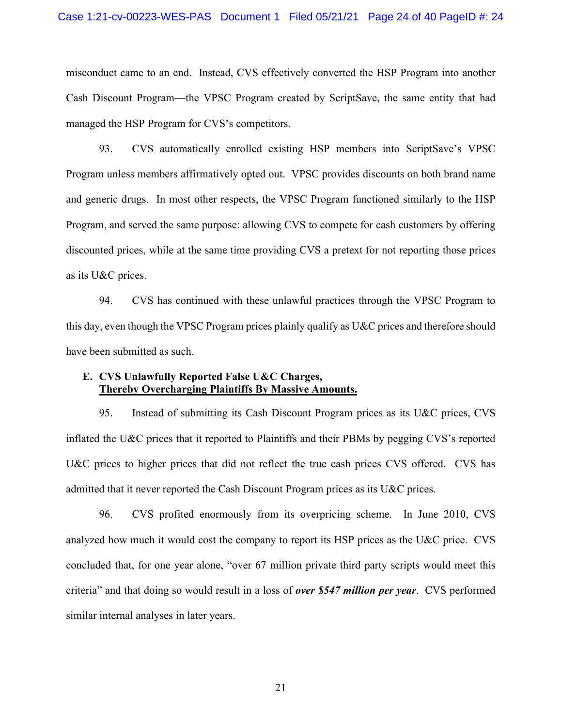misconduct came to an end. Instead, CVS effectively converted the HSP Program into another Cash Discount Program—the VPSC Program created by ScriptSave, the same entity that had managed the HSP Program for CVS's competitors.

93. CVS automatically enrolled existing HSP members into ScriptSave's VPSC Program unless members affirmatively opted out. VPSC provides discounts on both brand name and generic drugs. In most other respects, the VPSC Program functioned similarly to the HSP Program, and served the same purpose: allowing CVS to compete for cash customers by offering discounted prices, while at the same time providing CVS a pretext for not reporting those prices as its U&C prices.

94. CVS has continued with these unlawful practices through the VPSC Program to this day, even though the VPSC Program prices plainly qualify as U&C prices and therefore should have been submitted as such.

## **E. CVS Unlawfully Reported False U&C Charges, Thereby Overcharging Plaintiffs By Massive Amounts.**

95. Instead of submitting its Cash Discount Program prices as its U&C prices, CVS inflated the U&C prices that it reported to Plaintiffs and their PBMs by pegging CVS's reported U&C prices to higher prices that did not reflect the true cash prices CVS offered. CVS has admitted that it never reported the Cash Discount Program prices as its U&C prices.

96. CVS profited enormously from its overpricing scheme. In June 2010, CVS analyzed how much it would cost the company to report its HSP prices as the U&C price. CVS concluded that, for one year alone, "over 67 million private third party scripts would meet this criteria" and that doing so would result in a loss of *over \$547 million per year*. CVS performed similar internal analyses in later years.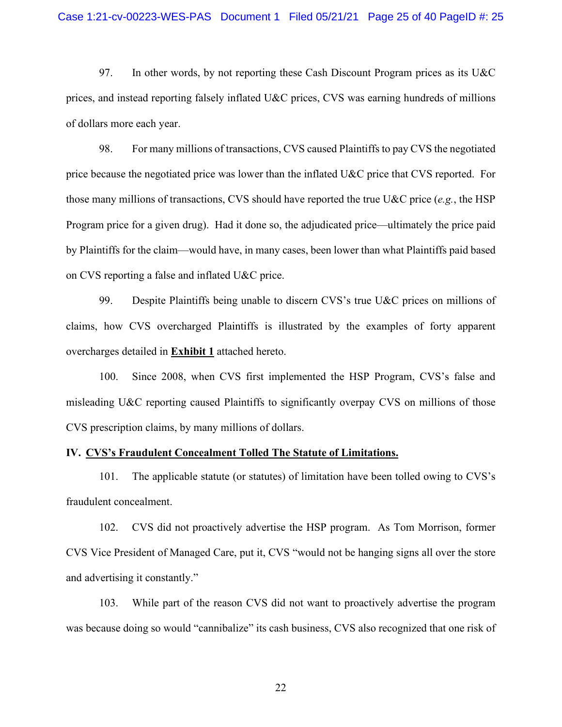97. In other words, by not reporting these Cash Discount Program prices as its U&C prices, and instead reporting falsely inflated U&C prices, CVS was earning hundreds of millions of dollars more each year.

98. For many millions of transactions, CVS caused Plaintiffs to pay CVS the negotiated price because the negotiated price was lower than the inflated U&C price that CVS reported. For those many millions of transactions, CVS should have reported the true U&C price (*e.g.*, the HSP Program price for a given drug). Had it done so, the adjudicated price—ultimately the price paid by Plaintiffs for the claim—would have, in many cases, been lower than what Plaintiffs paid based on CVS reporting a false and inflated U&C price.

99. Despite Plaintiffs being unable to discern CVS's true U&C prices on millions of claims, how CVS overcharged Plaintiffs is illustrated by the examples of forty apparent overcharges detailed in **Exhibit 1** attached hereto.

100. Since 2008, when CVS first implemented the HSP Program, CVS's false and misleading U&C reporting caused Plaintiffs to significantly overpay CVS on millions of those CVS prescription claims, by many millions of dollars.

## **IV. CVS's Fraudulent Concealment Tolled The Statute of Limitations.**

101. The applicable statute (or statutes) of limitation have been tolled owing to CVS's fraudulent concealment.

102. CVS did not proactively advertise the HSP program. As Tom Morrison, former CVS Vice President of Managed Care, put it, CVS "would not be hanging signs all over the store and advertising it constantly."

103. While part of the reason CVS did not want to proactively advertise the program was because doing so would "cannibalize" its cash business, CVS also recognized that one risk of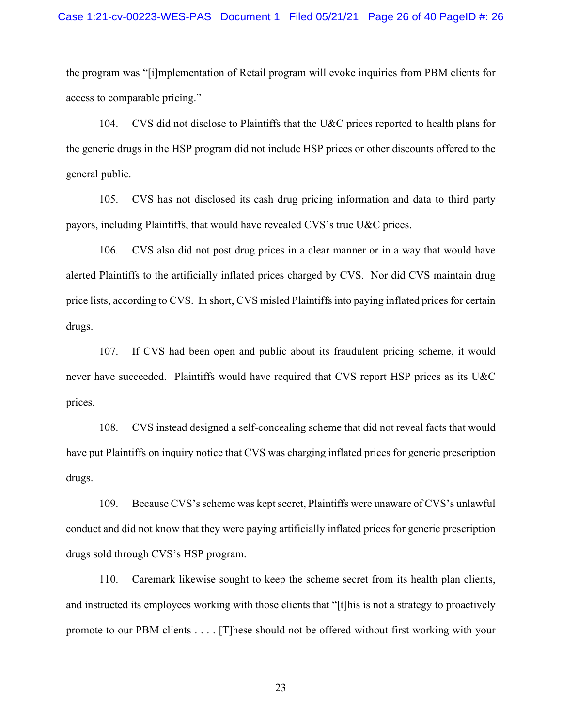#### Case 1:21-cv-00223-WES-PAS Document 1 Filed 05/21/21 Page 26 of 40 PageID #: 26

the program was "[i]mplementation of Retail program will evoke inquiries from PBM clients for access to comparable pricing."

104. CVS did not disclose to Plaintiffs that the U&C prices reported to health plans for the generic drugs in the HSP program did not include HSP prices or other discounts offered to the general public.

105. CVS has not disclosed its cash drug pricing information and data to third party payors, including Plaintiffs, that would have revealed CVS's true U&C prices.

106. CVS also did not post drug prices in a clear manner or in a way that would have alerted Plaintiffs to the artificially inflated prices charged by CVS. Nor did CVS maintain drug price lists, according to CVS. In short, CVS misled Plaintiffs into paying inflated prices for certain drugs.

107. If CVS had been open and public about its fraudulent pricing scheme, it would never have succeeded. Plaintiffs would have required that CVS report HSP prices as its U&C prices.

108. CVS instead designed a self-concealing scheme that did not reveal facts that would have put Plaintiffs on inquiry notice that CVS was charging inflated prices for generic prescription drugs.

109. Because CVS's scheme was kept secret, Plaintiffs were unaware of CVS's unlawful conduct and did not know that they were paying artificially inflated prices for generic prescription drugs sold through CVS's HSP program.

110. Caremark likewise sought to keep the scheme secret from its health plan clients, and instructed its employees working with those clients that "[t]his is not a strategy to proactively promote to our PBM clients . . . . [T]hese should not be offered without first working with your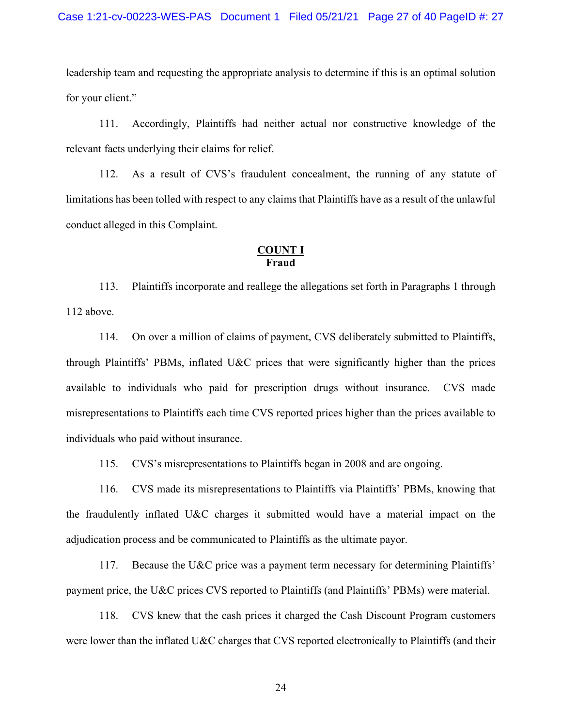leadership team and requesting the appropriate analysis to determine if this is an optimal solution for your client."

111. Accordingly, Plaintiffs had neither actual nor constructive knowledge of the relevant facts underlying their claims for relief.

112. As a result of CVS's fraudulent concealment, the running of any statute of limitations has been tolled with respect to any claims that Plaintiffs have as a result of the unlawful conduct alleged in this Complaint.

## **COUNT I Fraud**

113. Plaintiffs incorporate and reallege the allegations set forth in Paragraphs 1 through 112 above.

114. On over a million of claims of payment, CVS deliberately submitted to Plaintiffs, through Plaintiffs' PBMs, inflated U&C prices that were significantly higher than the prices available to individuals who paid for prescription drugs without insurance. CVS made misrepresentations to Plaintiffs each time CVS reported prices higher than the prices available to individuals who paid without insurance.

115. CVS's misrepresentations to Plaintiffs began in 2008 and are ongoing.

116. CVS made its misrepresentations to Plaintiffs via Plaintiffs' PBMs, knowing that the fraudulently inflated U&C charges it submitted would have a material impact on the adjudication process and be communicated to Plaintiffs as the ultimate payor.

117. Because the U&C price was a payment term necessary for determining Plaintiffs' payment price, the U&C prices CVS reported to Plaintiffs (and Plaintiffs' PBMs) were material.

118. CVS knew that the cash prices it charged the Cash Discount Program customers were lower than the inflated U&C charges that CVS reported electronically to Plaintiffs (and their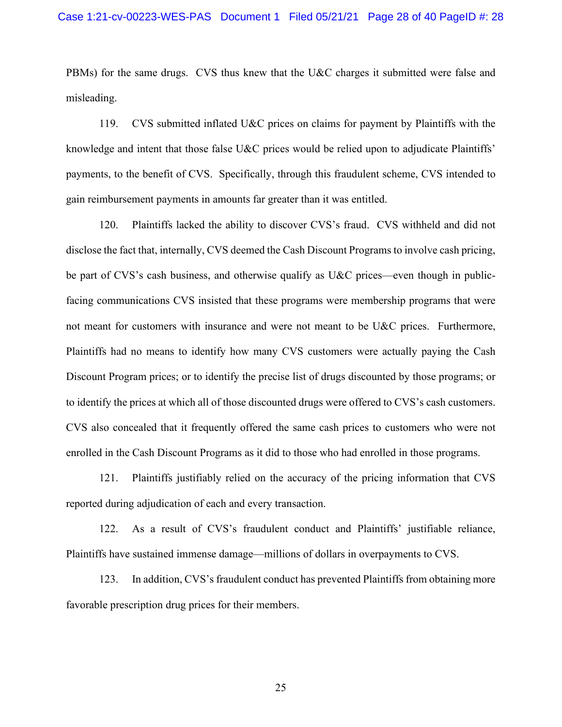PBMs) for the same drugs. CVS thus knew that the U&C charges it submitted were false and misleading.

119. CVS submitted inflated U&C prices on claims for payment by Plaintiffs with the knowledge and intent that those false U&C prices would be relied upon to adjudicate Plaintiffs' payments, to the benefit of CVS. Specifically, through this fraudulent scheme, CVS intended to gain reimbursement payments in amounts far greater than it was entitled.

120. Plaintiffs lacked the ability to discover CVS's fraud. CVS withheld and did not disclose the fact that, internally, CVS deemed the Cash Discount Programs to involve cash pricing, be part of CVS's cash business, and otherwise qualify as U&C prices—even though in publicfacing communications CVS insisted that these programs were membership programs that were not meant for customers with insurance and were not meant to be U&C prices. Furthermore, Plaintiffs had no means to identify how many CVS customers were actually paying the Cash Discount Program prices; or to identify the precise list of drugs discounted by those programs; or to identify the prices at which all of those discounted drugs were offered to CVS's cash customers. CVS also concealed that it frequently offered the same cash prices to customers who were not enrolled in the Cash Discount Programs as it did to those who had enrolled in those programs.

121. Plaintiffs justifiably relied on the accuracy of the pricing information that CVS reported during adjudication of each and every transaction.

122. As a result of CVS's fraudulent conduct and Plaintiffs' justifiable reliance, Plaintiffs have sustained immense damage—millions of dollars in overpayments to CVS.

123. In addition, CVS's fraudulent conduct has prevented Plaintiffs from obtaining more favorable prescription drug prices for their members.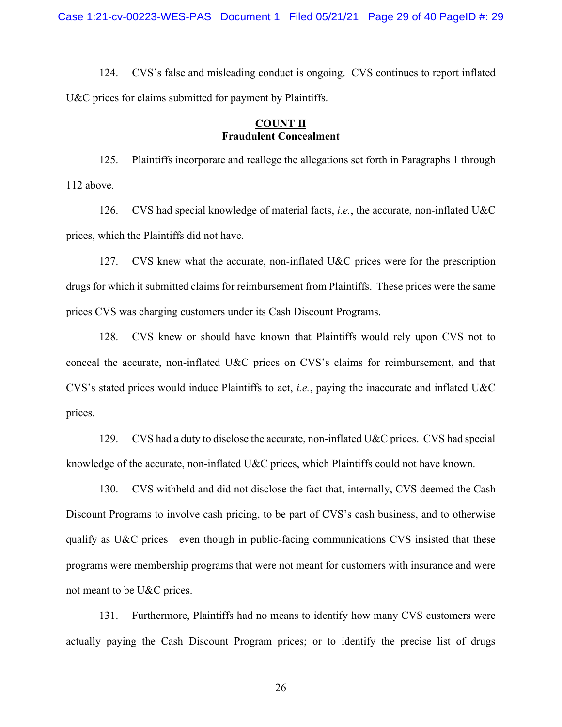124. CVS's false and misleading conduct is ongoing. CVS continues to report inflated U&C prices for claims submitted for payment by Plaintiffs.

## **COUNT II Fraudulent Concealment**

125. Plaintiffs incorporate and reallege the allegations set forth in Paragraphs 1 through 112 above.

126. CVS had special knowledge of material facts, *i.e.*, the accurate, non-inflated U&C prices, which the Plaintiffs did not have.

127. CVS knew what the accurate, non-inflated U&C prices were for the prescription drugs for which it submitted claims for reimbursement from Plaintiffs. These prices were the same prices CVS was charging customers under its Cash Discount Programs.

128. CVS knew or should have known that Plaintiffs would rely upon CVS not to conceal the accurate, non-inflated U&C prices on CVS's claims for reimbursement, and that CVS's stated prices would induce Plaintiffs to act, *i.e.*, paying the inaccurate and inflated U&C prices.

129. CVS had a duty to disclose the accurate, non-inflated U&C prices. CVS had special knowledge of the accurate, non-inflated U&C prices, which Plaintiffs could not have known.

130. CVS withheld and did not disclose the fact that, internally, CVS deemed the Cash Discount Programs to involve cash pricing, to be part of CVS's cash business, and to otherwise qualify as U&C prices—even though in public-facing communications CVS insisted that these programs were membership programs that were not meant for customers with insurance and were not meant to be U&C prices.

131. Furthermore, Plaintiffs had no means to identify how many CVS customers were actually paying the Cash Discount Program prices; or to identify the precise list of drugs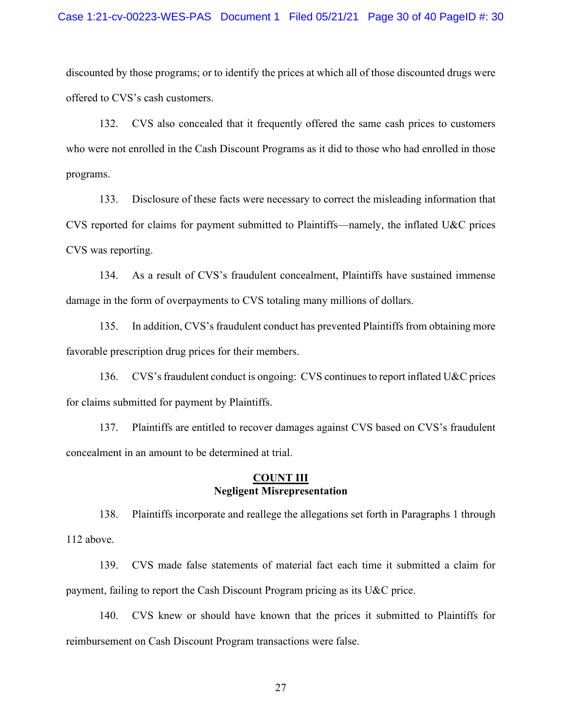#### Case 1:21-cv-00223-WES-PAS Document 1 Filed 05/21/21 Page 30 of 40 PageID #: 30

discounted by those programs; or to identify the prices at which all of those discounted drugs were offered to CVS's cash customers.

132. CVS also concealed that it frequently offered the same cash prices to customers who were not enrolled in the Cash Discount Programs as it did to those who had enrolled in those programs.

133. Disclosure of these facts were necessary to correct the misleading information that CVS reported for claims for payment submitted to Plaintiffs—namely, the inflated U&C prices CVS was reporting.

134. As a result of CVS's fraudulent concealment, Plaintiffs have sustained immense damage in the form of overpayments to CVS totaling many millions of dollars.

135. In addition, CVS's fraudulent conduct has prevented Plaintiffs from obtaining more favorable prescription drug prices for their members.

136. CVS's fraudulent conduct is ongoing: CVS continues to report inflated U&C prices for claims submitted for payment by Plaintiffs.

137. Plaintiffs are entitled to recover damages against CVS based on CVS's fraudulent concealment in an amount to be determined at trial.

#### **COUNT III Negligent Misrepresentation**

138. Plaintiffs incorporate and reallege the allegations set forth in Paragraphs 1 through 112 above.

139. CVS made false statements of material fact each time it submitted a claim for payment, failing to report the Cash Discount Program pricing as its U&C price.

140. CVS knew or should have known that the prices it submitted to Plaintiffs for reimbursement on Cash Discount Program transactions were false.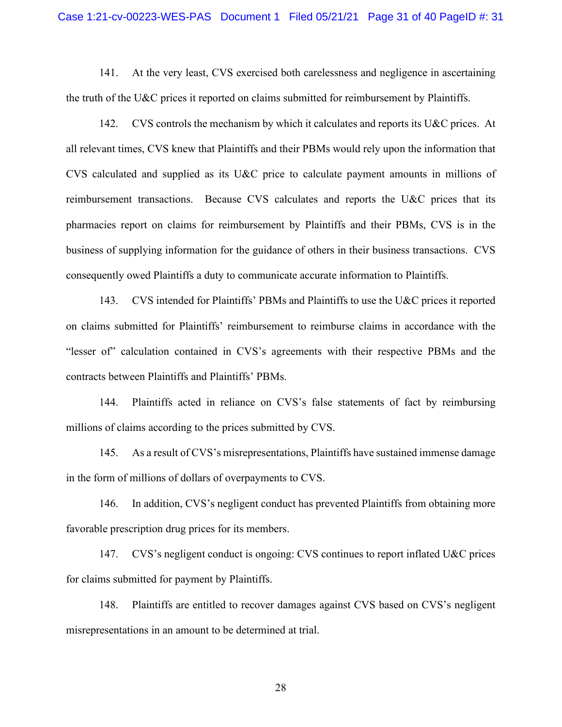#### Case 1:21-cv-00223-WES-PAS Document 1 Filed 05/21/21 Page 31 of 40 PageID #: 31

141. At the very least, CVS exercised both carelessness and negligence in ascertaining the truth of the U&C prices it reported on claims submitted for reimbursement by Plaintiffs.

142. CVS controls the mechanism by which it calculates and reports its U&C prices. At all relevant times, CVS knew that Plaintiffs and their PBMs would rely upon the information that CVS calculated and supplied as its U&C price to calculate payment amounts in millions of reimbursement transactions. Because CVS calculates and reports the U&C prices that its pharmacies report on claims for reimbursement by Plaintiffs and their PBMs, CVS is in the business of supplying information for the guidance of others in their business transactions. CVS consequently owed Plaintiffs a duty to communicate accurate information to Plaintiffs.

143. CVS intended for Plaintiffs' PBMs and Plaintiffs to use the U&C prices it reported on claims submitted for Plaintiffs' reimbursement to reimburse claims in accordance with the "lesser of" calculation contained in CVS's agreements with their respective PBMs and the contracts between Plaintiffs and Plaintiffs' PBMs.

144. Plaintiffs acted in reliance on CVS's false statements of fact by reimbursing millions of claims according to the prices submitted by CVS.

145. As a result of CVS's misrepresentations, Plaintiffs have sustained immense damage in the form of millions of dollars of overpayments to CVS.

146. In addition, CVS's negligent conduct has prevented Plaintiffs from obtaining more favorable prescription drug prices for its members.

147. CVS's negligent conduct is ongoing: CVS continues to report inflated U&C prices for claims submitted for payment by Plaintiffs.

148. Plaintiffs are entitled to recover damages against CVS based on CVS's negligent misrepresentations in an amount to be determined at trial.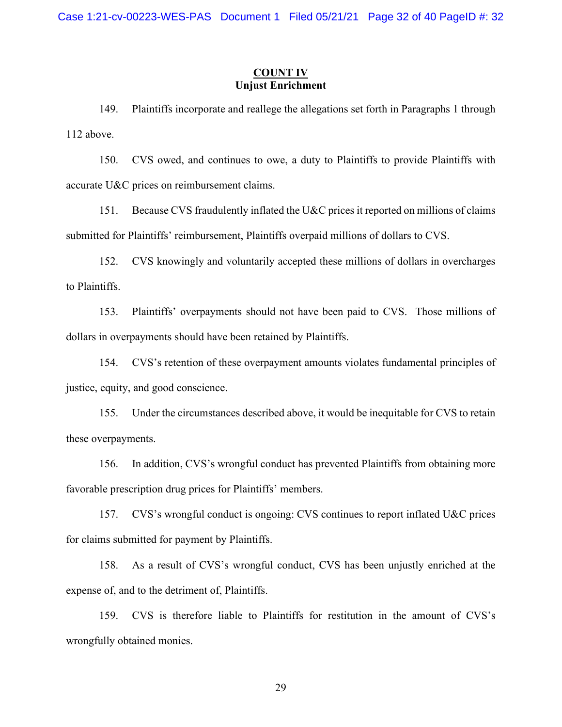## **COUNT IV Unjust Enrichment**

149. Plaintiffs incorporate and reallege the allegations set forth in Paragraphs 1 through 112 above.

150. CVS owed, and continues to owe, a duty to Plaintiffs to provide Plaintiffs with accurate U&C prices on reimbursement claims.

151. Because CVS fraudulently inflated the U&C prices it reported on millions of claims submitted for Plaintiffs' reimbursement, Plaintiffs overpaid millions of dollars to CVS.

152. CVS knowingly and voluntarily accepted these millions of dollars in overcharges to Plaintiffs.

153. Plaintiffs' overpayments should not have been paid to CVS. Those millions of dollars in overpayments should have been retained by Plaintiffs.

154. CVS's retention of these overpayment amounts violates fundamental principles of justice, equity, and good conscience.

155. Under the circumstances described above, it would be inequitable for CVS to retain these overpayments.

156. In addition, CVS's wrongful conduct has prevented Plaintiffs from obtaining more favorable prescription drug prices for Plaintiffs' members.

157. CVS's wrongful conduct is ongoing: CVS continues to report inflated U&C prices for claims submitted for payment by Plaintiffs.

158. As a result of CVS's wrongful conduct, CVS has been unjustly enriched at the expense of, and to the detriment of, Plaintiffs.

159. CVS is therefore liable to Plaintiffs for restitution in the amount of CVS's wrongfully obtained monies.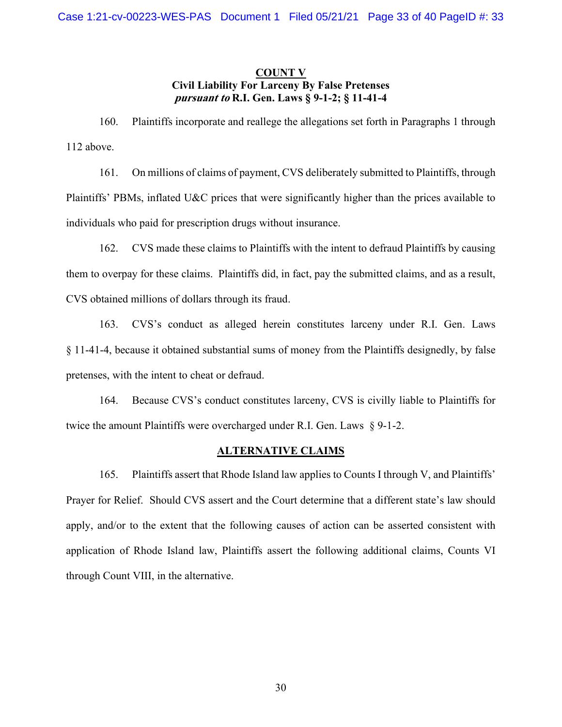# **COUNT V Civil Liability For Larceny By False Pretenses pursuant to R.I. Gen. Laws § 9-1-2; § 11-41-4**

160. Plaintiffs incorporate and reallege the allegations set forth in Paragraphs 1 through 112 above.

161. On millions of claims of payment, CVS deliberately submitted to Plaintiffs, through Plaintiffs' PBMs, inflated U&C prices that were significantly higher than the prices available to individuals who paid for prescription drugs without insurance.

162. CVS made these claims to Plaintiffs with the intent to defraud Plaintiffs by causing them to overpay for these claims. Plaintiffs did, in fact, pay the submitted claims, and as a result, CVS obtained millions of dollars through its fraud.

163. CVS's conduct as alleged herein constitutes larceny under R.I. Gen. Laws § 11-41-4, because it obtained substantial sums of money from the Plaintiffs designedly, by false pretenses, with the intent to cheat or defraud.

164. Because CVS's conduct constitutes larceny, CVS is civilly liable to Plaintiffs for twice the amount Plaintiffs were overcharged under R.I. Gen. Laws § 9-1-2.

# **ALTERNATIVE CLAIMS**

165. Plaintiffs assert that Rhode Island law applies to Counts I through V, and Plaintiffs' Prayer for Relief. Should CVS assert and the Court determine that a different state's law should apply, and/or to the extent that the following causes of action can be asserted consistent with application of Rhode Island law, Plaintiffs assert the following additional claims, Counts VI through Count VIII, in the alternative.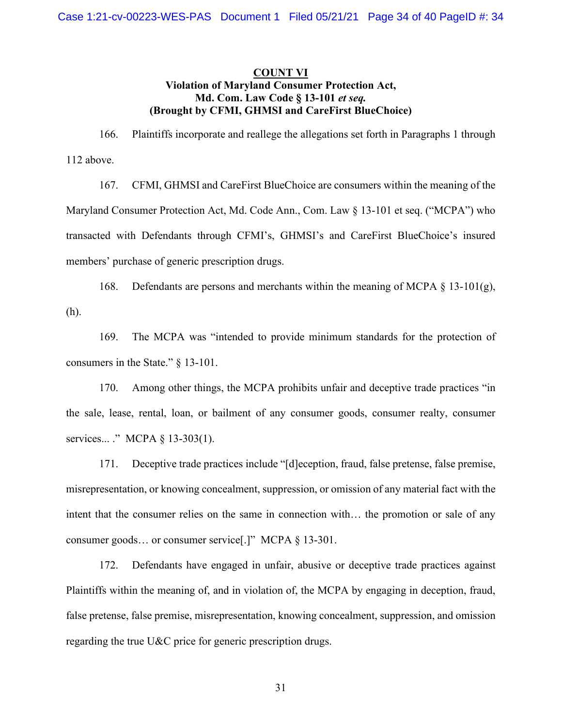# **COUNT VI Violation of Maryland Consumer Protection Act, Md. Com. Law Code § 13-101** *et seq.* **(Brought by CFMI, GHMSI and CareFirst BlueChoice)**

166. Plaintiffs incorporate and reallege the allegations set forth in Paragraphs 1 through 112 above.

167. CFMI, GHMSI and CareFirst BlueChoice are consumers within the meaning of the Maryland Consumer Protection Act, Md. Code Ann., Com. Law § 13-101 et seq. ("MCPA") who transacted with Defendants through CFMI's, GHMSI's and CareFirst BlueChoice's insured members' purchase of generic prescription drugs.

168. Defendants are persons and merchants within the meaning of MCPA  $\S$  13-101(g), (h).

169. The MCPA was "intended to provide minimum standards for the protection of consumers in the State." § 13-101.

170. Among other things, the MCPA prohibits unfair and deceptive trade practices "in the sale, lease, rental, loan, or bailment of any consumer goods, consumer realty, consumer services... ." MCPA § 13-303(1).

171. Deceptive trade practices include "[d]eception, fraud, false pretense, false premise, misrepresentation, or knowing concealment, suppression, or omission of any material fact with the intent that the consumer relies on the same in connection with… the promotion or sale of any consumer goods… or consumer service[.]" MCPA § 13-301.

172. Defendants have engaged in unfair, abusive or deceptive trade practices against Plaintiffs within the meaning of, and in violation of, the MCPA by engaging in deception, fraud, false pretense, false premise, misrepresentation, knowing concealment, suppression, and omission regarding the true U&C price for generic prescription drugs.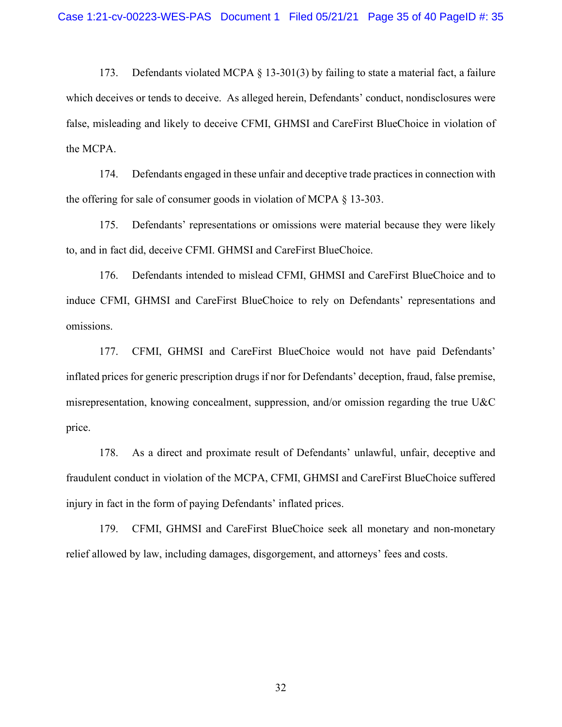173. Defendants violated MCPA  $\S$  13-301(3) by failing to state a material fact, a failure which deceives or tends to deceive. As alleged herein, Defendants' conduct, nondisclosures were false, misleading and likely to deceive CFMI, GHMSI and CareFirst BlueChoice in violation of the MCPA.

174. Defendants engaged in these unfair and deceptive trade practices in connection with the offering for sale of consumer goods in violation of MCPA § 13-303.

175. Defendants' representations or omissions were material because they were likely to, and in fact did, deceive CFMI. GHMSI and CareFirst BlueChoice.

176. Defendants intended to mislead CFMI, GHMSI and CareFirst BlueChoice and to induce CFMI, GHMSI and CareFirst BlueChoice to rely on Defendants' representations and omissions.

177. CFMI, GHMSI and CareFirst BlueChoice would not have paid Defendants' inflated prices for generic prescription drugs if nor for Defendants' deception, fraud, false premise, misrepresentation, knowing concealment, suppression, and/or omission regarding the true U&C price.

178. As a direct and proximate result of Defendants' unlawful, unfair, deceptive and fraudulent conduct in violation of the MCPA, CFMI, GHMSI and CareFirst BlueChoice suffered injury in fact in the form of paying Defendants' inflated prices.

179. CFMI, GHMSI and CareFirst BlueChoice seek all monetary and non-monetary relief allowed by law, including damages, disgorgement, and attorneys' fees and costs.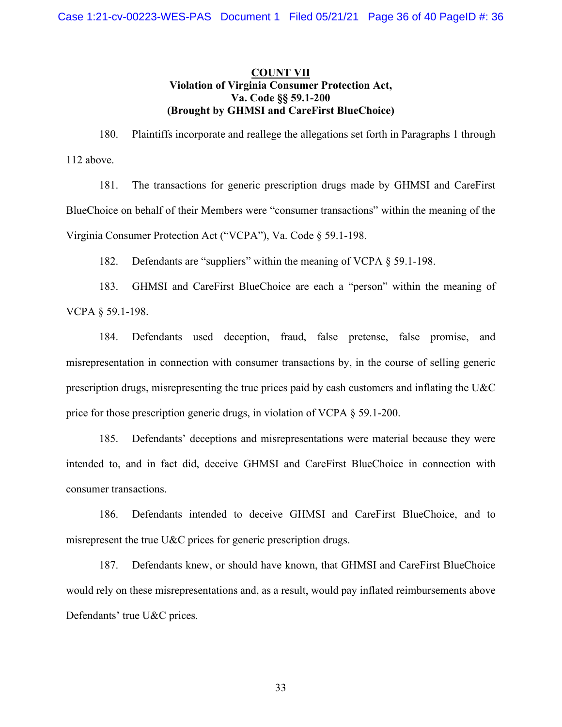# **COUNT VII Violation of Virginia Consumer Protection Act, Va. Code §§ 59.1-200 (Brought by GHMSI and CareFirst BlueChoice)**

180. Plaintiffs incorporate and reallege the allegations set forth in Paragraphs 1 through 112 above.

181. The transactions for generic prescription drugs made by GHMSI and CareFirst BlueChoice on behalf of their Members were "consumer transactions" within the meaning of the Virginia Consumer Protection Act ("VCPA"), Va. Code § 59.1-198.

182. Defendants are "suppliers" within the meaning of VCPA § 59.1-198.

183. GHMSI and CareFirst BlueChoice are each a "person" within the meaning of VCPA § 59.1-198.

184. Defendants used deception, fraud, false pretense, false promise, and misrepresentation in connection with consumer transactions by, in the course of selling generic prescription drugs, misrepresenting the true prices paid by cash customers and inflating the U&C price for those prescription generic drugs, in violation of VCPA § 59.1-200.

185. Defendants' deceptions and misrepresentations were material because they were intended to, and in fact did, deceive GHMSI and CareFirst BlueChoice in connection with consumer transactions.

186. Defendants intended to deceive GHMSI and CareFirst BlueChoice, and to misrepresent the true U&C prices for generic prescription drugs.

187. Defendants knew, or should have known, that GHMSI and CareFirst BlueChoice would rely on these misrepresentations and, as a result, would pay inflated reimbursements above Defendants' true U&C prices.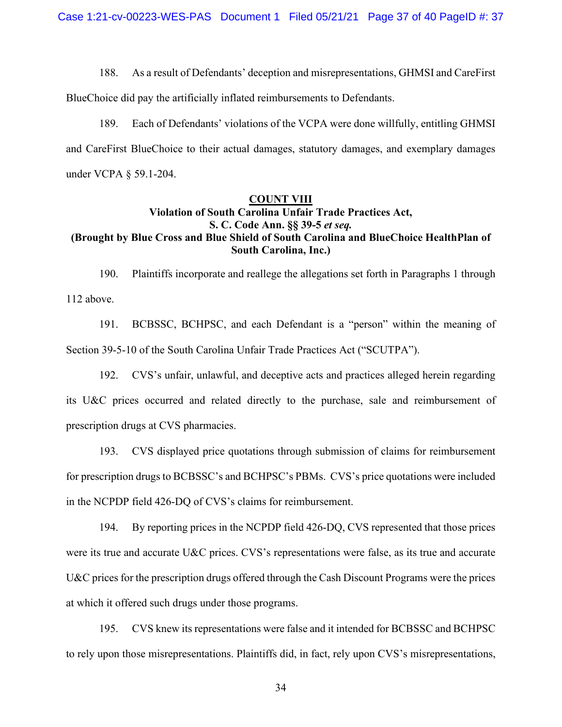188. As a result of Defendants' deception and misrepresentations, GHMSI and CareFirst

BlueChoice did pay the artificially inflated reimbursements to Defendants.

189. Each of Defendants' violations of the VCPA were done willfully, entitling GHMSI and CareFirst BlueChoice to their actual damages, statutory damages, and exemplary damages under VCPA § 59.1-204.

# **COUNT VIII**

# **Violation of South Carolina Unfair Trade Practices Act, S. C. Code Ann. §§ 39-5** *et seq.* **(Brought by Blue Cross and Blue Shield of South Carolina and BlueChoice HealthPlan of South Carolina, Inc.)**

190. Plaintiffs incorporate and reallege the allegations set forth in Paragraphs 1 through 112 above.

191. BCBSSC, BCHPSC, and each Defendant is a "person" within the meaning of Section 39-5-10 of the South Carolina Unfair Trade Practices Act ("SCUTPA").

192. CVS's unfair, unlawful, and deceptive acts and practices alleged herein regarding its U&C prices occurred and related directly to the purchase, sale and reimbursement of prescription drugs at CVS pharmacies.

193. CVS displayed price quotations through submission of claims for reimbursement for prescription drugs to BCBSSC's and BCHPSC's PBMs. CVS's price quotations were included in the NCPDP field 426-DQ of CVS's claims for reimbursement.

194. By reporting prices in the NCPDP field 426-DQ, CVS represented that those prices were its true and accurate U&C prices. CVS's representations were false, as its true and accurate U&C prices for the prescription drugs offered through the Cash Discount Programs were the prices at which it offered such drugs under those programs.

195. CVS knew its representations were false and it intended for BCBSSC and BCHPSC to rely upon those misrepresentations. Plaintiffs did, in fact, rely upon CVS's misrepresentations,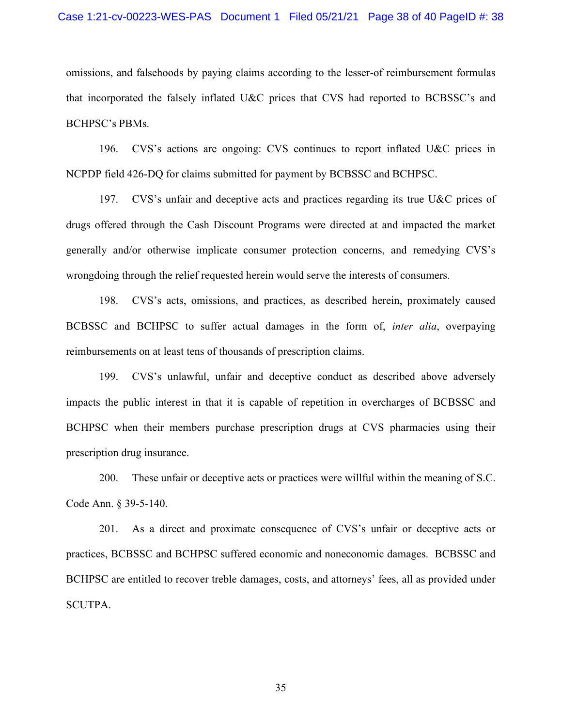#### Case 1:21-cv-00223-WES-PAS Document 1 Filed 05/21/21 Page 38 of 40 PageID #: 38

omissions, and falsehoods by paying claims according to the lesser-of reimbursement formulas that incorporated the falsely inflated U&C prices that CVS had reported to BCBSSC's and BCHPSC's PBMs.

196. CVS's actions are ongoing: CVS continues to report inflated U&C prices in NCPDP field 426-DQ for claims submitted for payment by BCBSSC and BCHPSC.

197. CVS's unfair and deceptive acts and practices regarding its true U&C prices of drugs offered through the Cash Discount Programs were directed at and impacted the market generally and/or otherwise implicate consumer protection concerns, and remedying CVS's wrongdoing through the relief requested herein would serve the interests of consumers.

198. CVS's acts, omissions, and practices, as described herein, proximately caused BCBSSC and BCHPSC to suffer actual damages in the form of, *inter alia*, overpaying reimbursements on at least tens of thousands of prescription claims.

199. CVS's unlawful, unfair and deceptive conduct as described above adversely impacts the public interest in that it is capable of repetition in overcharges of BCBSSC and BCHPSC when their members purchase prescription drugs at CVS pharmacies using their prescription drug insurance.

200. These unfair or deceptive acts or practices were willful within the meaning of S.C. Code Ann. § 39-5-140.

201. As a direct and proximate consequence of CVS's unfair or deceptive acts or practices, BCBSSC and BCHPSC suffered economic and noneconomic damages. BCBSSC and BCHPSC are entitled to recover treble damages, costs, and attorneys' fees, all as provided under SCUTPA.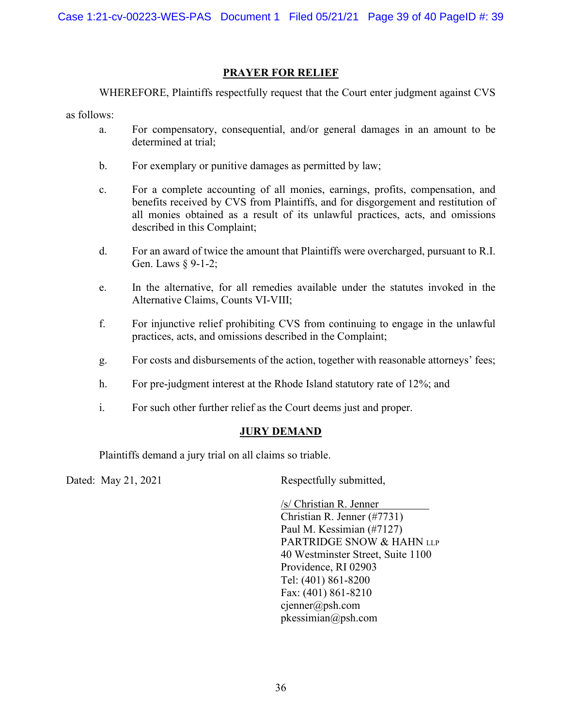# **PRAYER FOR RELIEF**

WHEREFORE, Plaintiffs respectfully request that the Court enter judgment against CVS

as follows:

- a. For compensatory, consequential, and/or general damages in an amount to be determined at trial;
- b. For exemplary or punitive damages as permitted by law;
- c. For a complete accounting of all monies, earnings, profits, compensation, and benefits received by CVS from Plaintiffs, and for disgorgement and restitution of all monies obtained as a result of its unlawful practices, acts, and omissions described in this Complaint;
- d. For an award of twice the amount that Plaintiffs were overcharged, pursuant to R.I. Gen. Laws § 9-1-2;
- e. In the alternative, for all remedies available under the statutes invoked in the Alternative Claims, Counts VI-VIII;
- f. For injunctive relief prohibiting CVS from continuing to engage in the unlawful practices, acts, and omissions described in the Complaint;
- g. For costs and disbursements of the action, together with reasonable attorneys' fees;
- h. For pre-judgment interest at the Rhode Island statutory rate of 12%; and
- i. For such other further relief as the Court deems just and proper.

# **JURY DEMAND**

Plaintiffs demand a jury trial on all claims so triable.

Dated: May 21, 2021 Respectfully submitted,

/s/ Christian R. Jenner Christian R. Jenner (#7731) Paul M. Kessimian (#7127) PARTRIDGE SNOW & HAHN LLP 40 Westminster Street, Suite 1100 Providence, RI 02903 Tel: (401) 861-8200 Fax: (401) 861-8210 cjenner@psh.com pkessimian@psh.com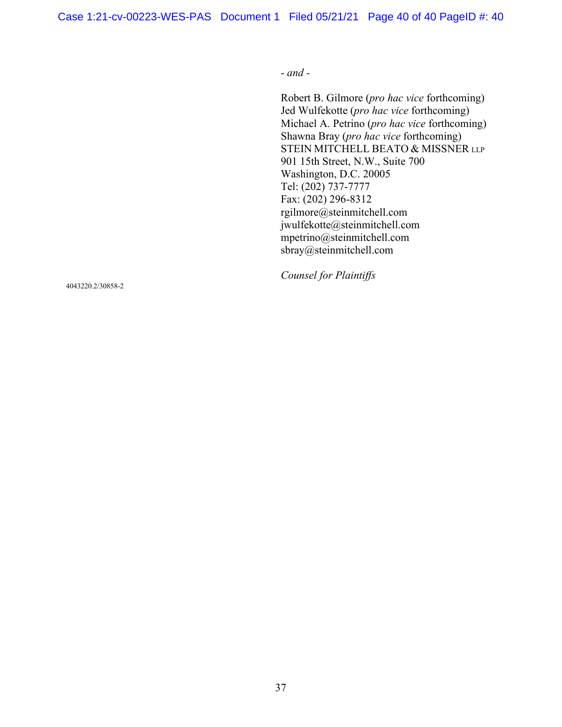Case 1:21-cv-00223-WES-PAS Document 1 Filed 05/21/21 Page 40 of 40 PageID #: 40

*- and -* 

Robert B. Gilmore (*pro hac vice* forthcoming) Jed Wulfekotte (*pro hac vice* forthcoming) Michael A. Petrino (*pro hac vice* forthcoming) Shawna Bray (*pro hac vice* forthcoming) STEIN MITCHELL BEATO & MISSNER LLP 901 15th Street, N.W., Suite 700 Washington, D.C. 20005 Tel: (202) 737-7777 Fax: (202) 296-8312 rgilmore@steinmitchell.com jwulfekotte@steinmitchell.com mpetrino@steinmitchell.com sbray@steinmitchell.com

*Counsel for Plaintiffs*

4043220.2/30858-2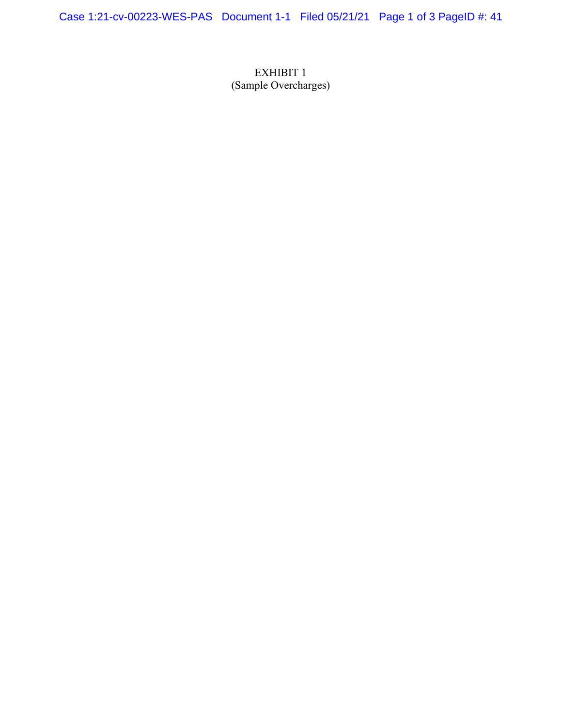Case 1:21-cv-00223-WES-PAS Document 1-1 Filed 05/21/21 Page 1 of 3 PageID #: 41

EXHIBIT 1 (Sample Overcharges)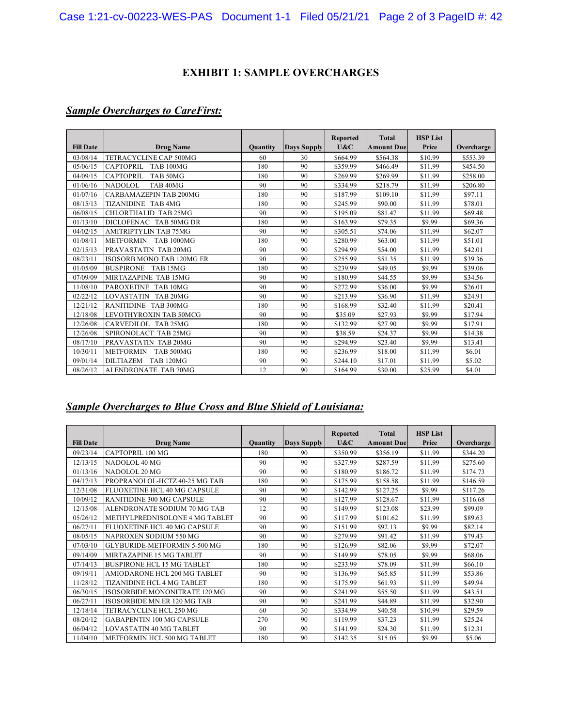# **EXHIBIT 1: SAMPLE OVERCHARGES**

# *Sample Overcharges to CareFirst:*

|                  |                                       |          |                    | Reported | <b>Total</b>      | <b>HSP List</b> |            |
|------------------|---------------------------------------|----------|--------------------|----------|-------------------|-----------------|------------|
| <b>Fill Date</b> | <b>Drug Name</b>                      | Quantity | <b>Days Supply</b> | U&C      | <b>Amount Due</b> | Price           | Overcharge |
| 03/08/14         | TETRACYCLINE CAP 500MG                | 60       | 30                 | \$664.99 | \$564.38          | \$10.99         | \$553.39   |
| 05/06/15         | <b>CAPTOPRIL</b><br>TAB 100MG         | 180      | 90                 | \$359.99 | \$466.49          | \$11.99         | \$454.50   |
| 04/09/15         | <b>CAPTOPRIL</b><br>TAB 50MG          | 180      | 90                 | \$269.99 | \$269.99          | \$11.99         | \$258.00   |
| 01/06/16         | <b>NADOLOL</b><br>TAB <sub>40MG</sub> | 90       | 90                 | \$334.99 | \$218.79          | \$11.99         | \$206.80   |
| 01/07/16         | <b>CARBAMAZEPIN TAB 200MG</b>         | 180      | 90                 | \$187.99 | \$109.10          | \$11.99         | \$97.11    |
| 08/15/13         | TIZANIDINE TAB4MG                     | 180      | 90                 | \$245.99 | \$90.00           | \$11.99         | \$78.01    |
| 06/08/15         | CHLORTHALID TAB 25MG                  | 90       | 90                 | \$195.09 | \$81.47           | \$11.99         | \$69.48    |
| 01/13/10         | DICLOFENAC TAB 50MG DR                | 180      | 90                 | \$163.99 | \$79.35           | \$9.99          | \$69.36    |
| 04/02/15         | <b>AMITRIPTYLIN TAB 75MG</b>          | 90       | 90                 | \$305.51 | \$74.06           | \$11.99         | \$62.07    |
| 01/08/11         | <b>METFORMIN</b><br><b>TAB 1000MG</b> | 180      | 90                 | \$280.99 | \$63.00           | \$11.99         | \$51.01    |
| 02/15/13         | PRAVASTATIN TAB 20MG                  | 90       | 90                 | \$294.99 | \$54.00           | \$11.99         | \$42.01    |
| 08/23/11         | <b>ISOSORB MONO TAB 120MG ER</b>      | 90       | 90                 | \$255.99 | \$51.35           | \$11.99         | \$39.36    |
| 01/05/09         | <b>BUSPIRONE</b><br>TAB 15MG          | 180      | 90                 | \$239.99 | \$49.05           | \$9.99          | \$39.06    |
| 07/09/09         | MIRTAZAPINE TAB 15MG                  | 90       | 90                 | \$180.99 | \$44.55           | \$9.99          | \$34.56    |
| 11/08/10         | PAROXETINE TAB 10MG                   | 90       | 90                 | \$272.99 | \$36.00           | \$9.99          | \$26.01    |
| 02/22/12         | LOVASTATIN TAB 20MG                   | 90       | 90                 | \$213.99 | \$36.90           | \$11.99         | \$24.91    |
| 12/21/12         | <b>RANITIDINE TAB 300MG</b>           | 180      | 90                 | \$168.99 | \$32.40           | \$11.99         | \$20.41    |
| 12/18/08         | LEVOTHYROXIN TAB 50MCG                | 90       | 90                 | \$35.09  | \$27.93           | \$9.99          | \$17.94    |
| 12/26/08         | CARVEDILOL TAB 25MG                   | 180      | 90                 | \$132.99 | \$27.90           | \$9.99          | \$17.91    |
| 12/26/08         | SPIRONOLACT TAB 25MG                  | 90       | 90                 | \$38.59  | \$24.37           | \$9.99          | \$14.38    |
| 08/17/10         | PRAVASTATIN TAB 20MG                  | 90       | 90                 | \$294.99 | \$23.40           | \$9.99          | \$13.41    |
| 10/30/11         | <b>METFORMIN</b><br>TAB 500MG         | 180      | 90                 | \$236.99 | \$18.00           | \$11.99         | \$6.01     |
| 09/01/14         | <b>DILTIAZEM</b><br><b>TAB 120MG</b>  | 90       | 90                 | \$244.10 | \$17.01           | \$11.99         | \$5.02     |
| 08/26/12         | ALENDRONATE TAB 70MG                  | 12       | 90                 | \$164.99 | \$30.00           | \$25.99         | \$4.01     |

# *Sample Overcharges to Blue Cross and Blue Shield of Louisiana:*

| <b>Fill Date</b> | <b>Drug Name</b>                   | Quantity | <b>Days Supply</b> | Reported<br>U&C | <b>Total</b><br><b>Amount Duel</b> | <b>HSP List</b><br>Price | Overcharge |
|------------------|------------------------------------|----------|--------------------|-----------------|------------------------------------|--------------------------|------------|
| 09/23/14         | CAPTOPRIL 100 MG                   | 180      | 90                 | \$350.99        | \$356.19                           | \$11.99                  | \$344.20   |
| 12/13/15         | NADOLOL 40 MG                      | 90       | 90                 | \$327.99        | \$287.59                           | \$11.99                  | \$275.60   |
| 01/13/16         | NADOLOL 20 MG                      | 90       | 90                 | \$180.99        | \$186.72                           | \$11.99                  | \$174.73   |
| 04/17/13         | PROPRANOLOL-HCTZ 40-25 MG TAB      | 180      | 90                 | \$175.99        | \$158.58                           | \$11.99                  | \$146.59   |
| 12/31/08         | FLUOXETINE HCL 40 MG CAPSULE       | 90       | 90                 | \$142.99        | \$127.25                           | \$9.99                   | \$117.26   |
| 10/09/12         | <b>RANITIDINE 300 MG CAPSULE</b>   | 90       | 90                 | \$127.99        | \$128.67                           | \$11.99                  | \$116.68   |
| 12/15/08         | ALENDRONATE SODIUM 70 MG TAB       | 12       | 90                 | \$149.99        | \$123.08                           | \$23.99                  | \$99.09    |
| 05/26/12         | METHYLPREDNISOLONE 4 MG TABLET     | 90       | 90                 | \$117.99        | \$101.62                           | \$11.99                  | \$89.63    |
| 06/27/11         | FLUOXETINE HCL 40 MG CAPSULE       | 90       | 90                 | \$151.99        | \$92.13                            | \$9.99                   | \$82.14    |
| 08/05/15         | NAPROXEN SODIUM 550 MG             | 90       | 90                 | \$279.99        | \$91.42                            | \$11.99                  | \$79.43    |
| 07/03/10         | GLYBURIDE-METFORMIN 5-500 MG       | 180      | 90                 | \$126.99        | \$82.06                            | \$9.99                   | \$72.07    |
| 09/14/09         | MIRTAZAPINE 15 MG TABLET           | 90       | 90                 | \$149.99        | \$78.05                            | \$9.99                   | \$68.06    |
| 07/14/13         | <b>BUSPIRONE HCL 15 MG TABLET</b>  | 180      | 90                 | \$233.99        | \$78.09                            | \$11.99                  | \$66.10    |
| 09/19/11         | AMIODARONE HCL 200 MG TABLET       | 90       | 90                 | \$136.99        | \$65.85                            | \$11.99                  | \$53.86    |
| 11/28/12         | <b>TIZANIDINE HCL 4 MG TABLET</b>  | 180      | 90                 | \$175.99        | \$61.93                            | \$11.99                  | \$49.94    |
| 06/30/15         | ISOSORBIDE MONONITRATE 120 MG      | 90       | 90                 | \$241.99        | \$55.50                            | \$11.99                  | \$43.51    |
| 06/27/11         | <b>ISOSORBIDE MN ER 120 MG TAB</b> | 90       | 90                 | \$241.99        | \$44.89                            | \$11.99                  | \$32.90    |
| 12/18/14         | TETRACYCLINE HCL 250 MG            | 60       | 30                 | \$334.99        | \$40.58                            | \$10.99                  | \$29.59    |
| 08/20/12         | <b>GABAPENTIN 100 MG CAPSULE</b>   | 270      | 90                 | \$119.99        | \$37.23                            | \$11.99                  | \$25.24    |
| 06/04/12         | LOVASTATIN 40 MG TABLET            | 90       | 90                 | \$141.99        | \$24.30                            | \$11.99                  | \$12.31    |
| 11/04/10         | METFORMIN HCL 500 MG TABLET        | 180      | 90                 | \$142.35        | \$15.05                            | \$9.99                   | \$5.06     |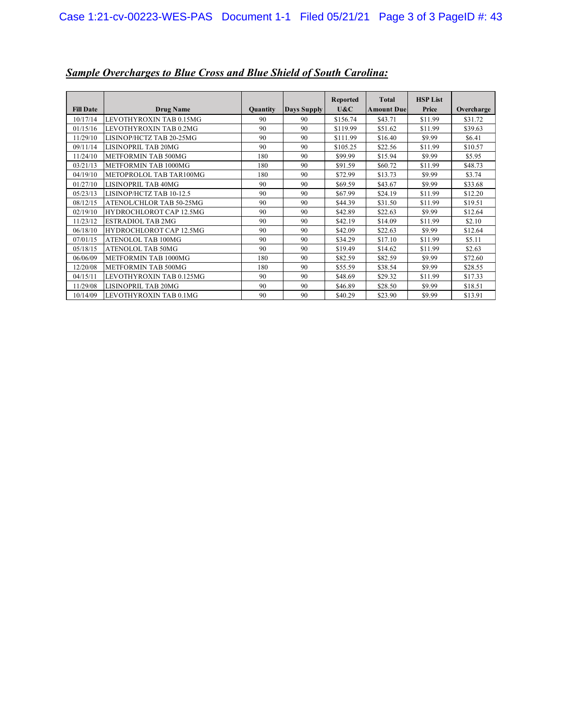| <b>Fill Date</b> | <b>Drug Name</b>           | <b>Quantity</b> | Days Supply | Reported<br>U&C | <b>Total</b><br><b>Amount Due</b> | <b>HSP List</b><br>Price | Overcharge |
|------------------|----------------------------|-----------------|-------------|-----------------|-----------------------------------|--------------------------|------------|
| 10/17/14         | LEVOTHYROXIN TAB 0.15MG    | 90              | 90          | \$156.74        | \$43.71                           | \$11.99                  | \$31.72    |
| 01/15/16         | LEVOTHYROXIN TAB 0.2MG     | 90              | 90          | \$119.99        | \$51.62                           | \$11.99                  | \$39.63    |
| 11/29/10         | LISINOP/HCTZ TAB 20-25MG   | 90              | 90          | \$111.99        | \$16.40                           | \$9.99                   | \$6.41     |
| 09/11/14         | LISINOPRIL TAB 20MG        | 90              | 90          | \$105.25        | \$22.56                           | \$11.99                  | \$10.57    |
| 11/24/10         | <b>METFORMIN TAB 500MG</b> | 180             | 90          | \$99.99         | \$15.94                           | \$9.99                   | \$5.95     |
| 03/21/13         | METFORMIN TAB 1000MG       | 180             | 90          | \$91.59         | \$60.72                           | \$11.99                  | \$48.73    |
| 04/19/10         | METOPROLOL TAB TAR100MG    | 180             | 90          | \$72.99         | \$13.73                           | \$9.99                   | \$3.74     |
| 01/27/10         | LISINOPRIL TAB 40MG        | 90              | 90          | \$69.59         | \$43.67                           | \$9.99                   | \$33.68    |
| 05/23/13         | LISINOP/HCTZ TAB 10-12.5   | 90              | 90          | \$67.99         | \$24.19                           | \$11.99                  | \$12.20    |
| 08/12/15         | ATENOL/CHLOR TAB 50-25MG   | 90              | 90          | \$44.39         | \$31.50                           | \$11.99                  | \$19.51    |
| 02/19/10         | HYDROCHLOROT CAP 12.5MG    | 90              | 90          | \$42.89         | \$22.63                           | \$9.99                   | \$12.64    |
| 11/23/12         | <b>ESTRADIOL TAB 2MG</b>   | 90              | 90          | \$42.19         | \$14.09                           | \$11.99                  | \$2.10     |
| 06/18/10         | HYDROCHLOROT CAP 12.5MG    | 90              | 90          | \$42.09         | \$22.63                           | \$9.99                   | \$12.64    |
| 07/01/15         | ATENOLOL TAB 100MG         | 90              | 90          | \$34.29         | \$17.10                           | \$11.99                  | \$5.11     |
| 05/18/15         | ATENOLOL TAB 50MG          | 90              | 90          | \$19.49         | \$14.62                           | \$11.99                  | \$2.63     |
| 06/06/09         | METFORMIN TAB 1000MG       | 180             | 90          | \$82.59         | \$82.59                           | \$9.99                   | \$72.60    |
| 12/20/08         | <b>METFORMIN TAB 500MG</b> | 180             | 90          | \$55.59         | \$38.54                           | \$9.99                   | \$28.55    |
| 04/15/11         | LEVOTHYROXIN TAB 0.125MG   | 90              | 90          | \$48.69         | \$29.32                           | \$11.99                  | \$17.33    |
| 11/29/08         | <b>LISINOPRIL TAB 20MG</b> | 90              | 90          | \$46.89         | \$28.50                           | \$9.99                   | \$18.51    |
| 10/14/09         | LEVOTHYROXIN TAB 0.1MG     | 90              | 90          | \$40.29         | \$23.90                           | \$9.99                   | \$13.91    |

# *Sample Overcharges to Blue Cross and Blue Shield of South Carolina:*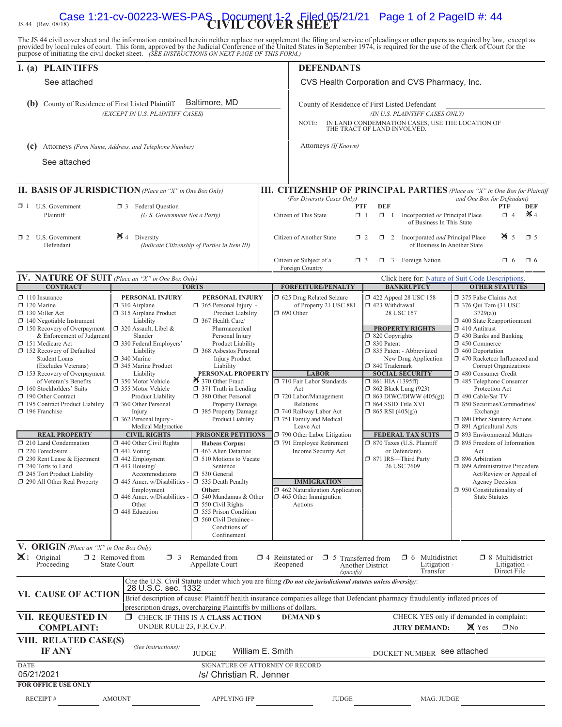# JS 44 (Rev. 08/18)<br> **Case 1:21-cv-00223-WES-PAŞ** Document 1-2 Filed 05/21/21 Page 1 of 2 PageID #: 44

The JS 44 civil cover sheet and the information contained herein neither replace nor supplement the filing and service of pleadings or other papers as required by law, except as provided by local rules of court. This form,

| I. (a) PLAINTIFFS                                                                                                                                                                                                                                                                                                                                                                                                                                                                                                                                                                                                                                |                                                                                                                                                                                                                                                                                                                                                                                                                                                                                                                                                                                                                                       |                                                                                                                                                                                                                                                                                                                                                                                                                                                                                                                                                                                                                                                                                                | <b>DEFENDANTS</b>                                                                                                                                                                                                                                                                                                                                                                                                                                |                                                                                                                                                                                                                                                                                                                                                                                                                                                                                                   |                                                                                                                                                                                                                                                                                                                                                                                                                                                                                                                                                                                                                                                                                                         |  |  |  |  |
|--------------------------------------------------------------------------------------------------------------------------------------------------------------------------------------------------------------------------------------------------------------------------------------------------------------------------------------------------------------------------------------------------------------------------------------------------------------------------------------------------------------------------------------------------------------------------------------------------------------------------------------------------|---------------------------------------------------------------------------------------------------------------------------------------------------------------------------------------------------------------------------------------------------------------------------------------------------------------------------------------------------------------------------------------------------------------------------------------------------------------------------------------------------------------------------------------------------------------------------------------------------------------------------------------|------------------------------------------------------------------------------------------------------------------------------------------------------------------------------------------------------------------------------------------------------------------------------------------------------------------------------------------------------------------------------------------------------------------------------------------------------------------------------------------------------------------------------------------------------------------------------------------------------------------------------------------------------------------------------------------------|--------------------------------------------------------------------------------------------------------------------------------------------------------------------------------------------------------------------------------------------------------------------------------------------------------------------------------------------------------------------------------------------------------------------------------------------------|---------------------------------------------------------------------------------------------------------------------------------------------------------------------------------------------------------------------------------------------------------------------------------------------------------------------------------------------------------------------------------------------------------------------------------------------------------------------------------------------------|---------------------------------------------------------------------------------------------------------------------------------------------------------------------------------------------------------------------------------------------------------------------------------------------------------------------------------------------------------------------------------------------------------------------------------------------------------------------------------------------------------------------------------------------------------------------------------------------------------------------------------------------------------------------------------------------------------|--|--|--|--|
| See attached                                                                                                                                                                                                                                                                                                                                                                                                                                                                                                                                                                                                                                     |                                                                                                                                                                                                                                                                                                                                                                                                                                                                                                                                                                                                                                       |                                                                                                                                                                                                                                                                                                                                                                                                                                                                                                                                                                                                                                                                                                | CVS Health Corporation and CVS Pharmacy, Inc.                                                                                                                                                                                                                                                                                                                                                                                                    |                                                                                                                                                                                                                                                                                                                                                                                                                                                                                                   |                                                                                                                                                                                                                                                                                                                                                                                                                                                                                                                                                                                                                                                                                                         |  |  |  |  |
| (b) County of Residence of First Listed Plaintiff                                                                                                                                                                                                                                                                                                                                                                                                                                                                                                                                                                                                | (EXCEPT IN U.S. PLAINTIFF CASES)                                                                                                                                                                                                                                                                                                                                                                                                                                                                                                                                                                                                      | Baltimore, MD                                                                                                                                                                                                                                                                                                                                                                                                                                                                                                                                                                                                                                                                                  | County of Residence of First Listed Defendant<br>(IN U.S. PLAINTIFF CASES ONLY)<br>IN LAND CONDEMNATION CASES, USE THE LOCATION OF<br>NOTE:<br>THE TRACT OF LAND INVOLVED.                                                                                                                                                                                                                                                                       |                                                                                                                                                                                                                                                                                                                                                                                                                                                                                                   |                                                                                                                                                                                                                                                                                                                                                                                                                                                                                                                                                                                                                                                                                                         |  |  |  |  |
| (c) Attorneys (Firm Name, Address, and Telephone Number)                                                                                                                                                                                                                                                                                                                                                                                                                                                                                                                                                                                         |                                                                                                                                                                                                                                                                                                                                                                                                                                                                                                                                                                                                                                       |                                                                                                                                                                                                                                                                                                                                                                                                                                                                                                                                                                                                                                                                                                | Attorneys (If Known)                                                                                                                                                                                                                                                                                                                                                                                                                             |                                                                                                                                                                                                                                                                                                                                                                                                                                                                                                   |                                                                                                                                                                                                                                                                                                                                                                                                                                                                                                                                                                                                                                                                                                         |  |  |  |  |
| See attached                                                                                                                                                                                                                                                                                                                                                                                                                                                                                                                                                                                                                                     |                                                                                                                                                                                                                                                                                                                                                                                                                                                                                                                                                                                                                                       |                                                                                                                                                                                                                                                                                                                                                                                                                                                                                                                                                                                                                                                                                                |                                                                                                                                                                                                                                                                                                                                                                                                                                                  |                                                                                                                                                                                                                                                                                                                                                                                                                                                                                                   |                                                                                                                                                                                                                                                                                                                                                                                                                                                                                                                                                                                                                                                                                                         |  |  |  |  |
|                                                                                                                                                                                                                                                                                                                                                                                                                                                                                                                                                                                                                                                  |                                                                                                                                                                                                                                                                                                                                                                                                                                                                                                                                                                                                                                       |                                                                                                                                                                                                                                                                                                                                                                                                                                                                                                                                                                                                                                                                                                |                                                                                                                                                                                                                                                                                                                                                                                                                                                  |                                                                                                                                                                                                                                                                                                                                                                                                                                                                                                   |                                                                                                                                                                                                                                                                                                                                                                                                                                                                                                                                                                                                                                                                                                         |  |  |  |  |
| II. BASIS OF JURISDICTION (Place an "X" in One Box Only)                                                                                                                                                                                                                                                                                                                                                                                                                                                                                                                                                                                         |                                                                                                                                                                                                                                                                                                                                                                                                                                                                                                                                                                                                                                       |                                                                                                                                                                                                                                                                                                                                                                                                                                                                                                                                                                                                                                                                                                | <b>III. CITIZENSHIP OF PRINCIPAL PARTIES</b> (Place an "X" in One Box for Plaintiff<br>(For Diversity Cases Only)<br>and One Box for Defendant)                                                                                                                                                                                                                                                                                                  |                                                                                                                                                                                                                                                                                                                                                                                                                                                                                                   |                                                                                                                                                                                                                                                                                                                                                                                                                                                                                                                                                                                                                                                                                                         |  |  |  |  |
| $\Box$ 1 U.S. Government<br>Plaintiff                                                                                                                                                                                                                                                                                                                                                                                                                                                                                                                                                                                                            | <b>3</b> Federal Question<br>(U.S. Government Not a Party)                                                                                                                                                                                                                                                                                                                                                                                                                                                                                                                                                                            |                                                                                                                                                                                                                                                                                                                                                                                                                                                                                                                                                                                                                                                                                                |                                                                                                                                                                                                                                                                                                                                                                                                                                                  | <b>DEF</b><br><b>PTF</b><br><b>PTF</b><br><b>DEF</b><br>$\mathbf{\times}$ 4<br>$\Box$ 4<br>Citizen of This State<br>$\Box$ 1<br>$\Box$ 1<br>Incorporated or Principal Place<br>of Business In This State                                                                                                                                                                                                                                                                                          |                                                                                                                                                                                                                                                                                                                                                                                                                                                                                                                                                                                                                                                                                                         |  |  |  |  |
| $\Box$ 2 U.S. Government<br>Defendant                                                                                                                                                                                                                                                                                                                                                                                                                                                                                                                                                                                                            | $\blacktriangleright$ 4 Diversity                                                                                                                                                                                                                                                                                                                                                                                                                                                                                                                                                                                                     | (Indicate Citizenship of Parties in Item III)                                                                                                                                                                                                                                                                                                                                                                                                                                                                                                                                                                                                                                                  | Citizen of Another State                                                                                                                                                                                                                                                                                                                                                                                                                         | Incorporated and Principal Place<br>$\Box$ 2<br>$\Box$ 2<br>of Business In Another State                                                                                                                                                                                                                                                                                                                                                                                                          | $\frac{1}{2}$ 5<br>$\square$ 5                                                                                                                                                                                                                                                                                                                                                                                                                                                                                                                                                                                                                                                                          |  |  |  |  |
|                                                                                                                                                                                                                                                                                                                                                                                                                                                                                                                                                                                                                                                  |                                                                                                                                                                                                                                                                                                                                                                                                                                                                                                                                                                                                                                       |                                                                                                                                                                                                                                                                                                                                                                                                                                                                                                                                                                                                                                                                                                | Citizen or Subject of a<br>Foreign Country                                                                                                                                                                                                                                                                                                                                                                                                       | <b>3</b> Foreign Nation<br>$\Box$ 3                                                                                                                                                                                                                                                                                                                                                                                                                                                               | $\Box$ 6<br>$\Box$ 6                                                                                                                                                                                                                                                                                                                                                                                                                                                                                                                                                                                                                                                                                    |  |  |  |  |
| <b>IV. NATURE OF SUIT</b> (Place an "X" in One Box Only)<br><b>CONTRACT</b>                                                                                                                                                                                                                                                                                                                                                                                                                                                                                                                                                                      |                                                                                                                                                                                                                                                                                                                                                                                                                                                                                                                                                                                                                                       |                                                                                                                                                                                                                                                                                                                                                                                                                                                                                                                                                                                                                                                                                                |                                                                                                                                                                                                                                                                                                                                                                                                                                                  | <b>BANKRUPTCY</b>                                                                                                                                                                                                                                                                                                                                                                                                                                                                                 | Click here for: Nature of Suit Code Descriptions.<br><b>OTHER STATUTES</b>                                                                                                                                                                                                                                                                                                                                                                                                                                                                                                                                                                                                                              |  |  |  |  |
| $\Box$ 110 Insurance<br>$\Box$ 120 Marine<br>$\Box$ 130 Miller Act<br>$\Box$ 140 Negotiable Instrument<br>$\Box$ 150 Recovery of Overpayment<br>& Enforcement of Judgment<br>151 Medicare Act<br>□ 152 Recovery of Defaulted<br><b>Student Loans</b><br>(Excludes Veterans)<br>153 Recovery of Overpayment<br>of Veteran's Benefits<br>160 Stockholders' Suits<br>190 Other Contract<br>195 Contract Product Liability<br>$\Box$ 196 Franchise<br><b>REAL PROPERTY</b><br>210 Land Condemnation<br>220 Foreclosure<br>$\Box$ 230 Rent Lease & Ejectment<br>$\Box$ 240 Torts to Land<br>245 Tort Product Liability<br>290 All Other Real Property | PERSONAL INJURY<br>$\Box$ 310 Airplane<br>315 Airplane Product<br>Liability<br>$\Box$ 320 Assault, Libel &<br>Slander<br>□ 330 Federal Employers'<br>Liability<br>□ 340 Marine<br>345 Marine Product<br>Liability<br>□ 350 Motor Vehicle<br>□ 355 Motor Vehicle<br>Product Liability<br>360 Other Personal<br>Injury<br>362 Personal Injury -<br>Medical Malpractice<br><b>CIVIL RIGHTS</b><br>$\Box$ 440 Other Civil Rights<br>$\Box$ 441 Voting<br>$\Box$ 442 Employment<br>$\Box$ 443 Housing/<br>Accommodations<br>$\Box$ 445 Amer. w/Disabilities -<br>Employment<br>$\Box$ 446 Amer. w/Disabilities -<br>Other<br>448 Education | <b>TORTS</b><br>PERSONAL INJURY<br>365 Personal Injury -<br>Product Liability<br>$\Box$ 367 Health Care/<br>Pharmaceutical<br>Personal Injury<br>Product Liability<br>368 Asbestos Personal<br><b>Injury Product</b><br>Liability<br>PERSONAL PROPERTY<br>370 Other Fraud<br>$\Box$ 371 Truth in Lending<br>380 Other Personal<br>Property Damage<br>385 Property Damage<br>Product Liability<br><b>PRISONER PETITIONS</b><br><b>Habeas Corpus:</b><br>463 Alien Detainee<br>$\Box$ 510 Motions to Vacate<br>Sentence<br>530 General<br>535 Death Penalty<br>Other:<br>$\Box$ 540 Mandamus & Other<br>$\Box$ 550 Civil Rights<br>555 Prison Condition<br>560 Civil Detainee -<br>Conditions of | <b>FORFEITURE/PENALTY</b><br>5 625 Drug Related Seizure<br>of Property 21 USC 881<br>$\Box$ 690 Other<br><b>LABOR</b><br>710 Fair Labor Standards<br>Act<br>720 Labor/Management<br>Relations<br>740 Railway Labor Act<br>751 Family and Medical<br>Leave Act<br>790 Other Labor Litigation<br>791 Employee Retirement<br>Income Security Act<br><b>IMMIGRATION</b><br>462 Naturalization Application<br>$\Box$ 465 Other Immigration<br>Actions | 158 122 Appeal 28 USC 158<br>423 Withdrawal<br>28 USC 157<br><b>PROPERTY RIGHTS</b><br>$\Box$ 820 Copyrights<br>□ 830 Patent<br>□ 835 Patent - Abbreviated<br>New Drug Application<br>□ 840 Trademark<br><b>SOCIAL SECURITY</b><br>$\Box$ 861 HIA (1395ff)<br>$\Box$ 862 Black Lung (923)<br>$\Box$ 863 DIWC/DIWW (405(g))<br>□ 864 SSID Title XVI<br>$\Box$ 865 RSI (405(g))<br><b>FEDERAL TAX SUITS</b><br>□ 870 Taxes (U.S. Plaintiff<br>or Defendant)<br>□ 871 IRS-Third Party<br>26 USC 7609 | 375 False Claims Act<br>$\Box$ 376 Qui Tam (31 USC<br>3729(a)<br>$\Box$ 400 State Reapportionment<br>$\Box$ 410 Antitrust<br>$\Box$ 430 Banks and Banking<br>1 450 Commerce<br>$\Box$ 460 Deportation<br>1 470 Racketeer Influenced and<br>Corrupt Organizations<br>480 Consumer Credit<br>485 Telephone Consumer<br>Protection Act<br>490 Cable/Sat TV<br>□ 850 Securities/Commodities/<br>Exchange<br>□ 890 Other Statutory Actions<br>□ 891 Agricultural Acts<br>□ 893 Environmental Matters<br>□ 895 Freedom of Information<br>Act<br>□ 896 Arbitration<br>□ 899 Administrative Procedure<br>Act/Review or Appeal of<br>Agency Decision<br>$\Box$ 950 Constitutionality of<br><b>State Statutes</b> |  |  |  |  |
| V. ORIGIN (Place an "X" in One Box Only)                                                                                                                                                                                                                                                                                                                                                                                                                                                                                                                                                                                                         |                                                                                                                                                                                                                                                                                                                                                                                                                                                                                                                                                                                                                                       | Confinement                                                                                                                                                                                                                                                                                                                                                                                                                                                                                                                                                                                                                                                                                    |                                                                                                                                                                                                                                                                                                                                                                                                                                                  |                                                                                                                                                                                                                                                                                                                                                                                                                                                                                                   |                                                                                                                                                                                                                                                                                                                                                                                                                                                                                                                                                                                                                                                                                                         |  |  |  |  |
| $\mathbb{X}$ 1 Original<br>Proceeding                                                                                                                                                                                                                                                                                                                                                                                                                                                                                                                                                                                                            | $\Box$ 2 Removed from<br>$\Box$ 3<br><b>State Court</b>                                                                                                                                                                                                                                                                                                                                                                                                                                                                                                                                                                               | Remanded from<br>Appellate Court                                                                                                                                                                                                                                                                                                                                                                                                                                                                                                                                                                                                                                                               | $\Box$ 4 Reinstated or<br>$\Box$ 5<br>Reopened                                                                                                                                                                                                                                                                                                                                                                                                   | Multidistrict<br>$\Box$ 6<br>Transferred from<br>Litigation -<br><b>Another District</b><br>Transfer<br>(specify)                                                                                                                                                                                                                                                                                                                                                                                 | $\Box$ 8 Multidistrict<br>Litigation -<br>Direct File                                                                                                                                                                                                                                                                                                                                                                                                                                                                                                                                                                                                                                                   |  |  |  |  |
| VI. CAUSE OF ACTION                                                                                                                                                                                                                                                                                                                                                                                                                                                                                                                                                                                                                              | 28 U.S.C. sec. 1332                                                                                                                                                                                                                                                                                                                                                                                                                                                                                                                                                                                                                   | prescription drugs, overcharging Plaintiffs by millions of dollars.                                                                                                                                                                                                                                                                                                                                                                                                                                                                                                                                                                                                                            | Cite the U.S. Civil Statute under which you are filing (Do not cite jurisdictional statutes unless diversity):                                                                                                                                                                                                                                                                                                                                   | Brief description of cause: Plaintiff health insurance companies allege that Defendant pharmacy fraudulently inflated prices of                                                                                                                                                                                                                                                                                                                                                                   |                                                                                                                                                                                                                                                                                                                                                                                                                                                                                                                                                                                                                                                                                                         |  |  |  |  |
| <b>VII. REQUESTED IN</b><br><b>COMPLAINT:</b>                                                                                                                                                                                                                                                                                                                                                                                                                                                                                                                                                                                                    | UNDER RULE 23, F.R.Cv.P.                                                                                                                                                                                                                                                                                                                                                                                                                                                                                                                                                                                                              | CHECK IF THIS IS A CLASS ACTION                                                                                                                                                                                                                                                                                                                                                                                                                                                                                                                                                                                                                                                                | <b>DEMAND \$</b>                                                                                                                                                                                                                                                                                                                                                                                                                                 | <b>JURY DEMAND:</b>                                                                                                                                                                                                                                                                                                                                                                                                                                                                               | CHECK YES only if demanded in complaint:<br>X Yes<br>$\Box$ No                                                                                                                                                                                                                                                                                                                                                                                                                                                                                                                                                                                                                                          |  |  |  |  |
| VIII. RELATED CASE(S)<br><b>IF ANY</b>                                                                                                                                                                                                                                                                                                                                                                                                                                                                                                                                                                                                           | (See instructions):                                                                                                                                                                                                                                                                                                                                                                                                                                                                                                                                                                                                                   | <b>JUDGE</b>                                                                                                                                                                                                                                                                                                                                                                                                                                                                                                                                                                                                                                                                                   | William E. Smith                                                                                                                                                                                                                                                                                                                                                                                                                                 | DOCKET NUMBER see attached                                                                                                                                                                                                                                                                                                                                                                                                                                                                        |                                                                                                                                                                                                                                                                                                                                                                                                                                                                                                                                                                                                                                                                                                         |  |  |  |  |
| <b>DATE</b><br>05/21/2021                                                                                                                                                                                                                                                                                                                                                                                                                                                                                                                                                                                                                        |                                                                                                                                                                                                                                                                                                                                                                                                                                                                                                                                                                                                                                       | /s/ Christian R. Jenner                                                                                                                                                                                                                                                                                                                                                                                                                                                                                                                                                                                                                                                                        | SIGNATURE OF ATTORNEY OF RECORD                                                                                                                                                                                                                                                                                                                                                                                                                  |                                                                                                                                                                                                                                                                                                                                                                                                                                                                                                   |                                                                                                                                                                                                                                                                                                                                                                                                                                                                                                                                                                                                                                                                                                         |  |  |  |  |
| <b>FOR OFFICE USE ONLY</b><br><b>RECEIPT#</b>                                                                                                                                                                                                                                                                                                                                                                                                                                                                                                                                                                                                    | <b>AMOUNT</b>                                                                                                                                                                                                                                                                                                                                                                                                                                                                                                                                                                                                                         | <b>APPLYING IFP</b>                                                                                                                                                                                                                                                                                                                                                                                                                                                                                                                                                                                                                                                                            | <b>JUDGE</b>                                                                                                                                                                                                                                                                                                                                                                                                                                     | MAG. JUDGE                                                                                                                                                                                                                                                                                                                                                                                                                                                                                        |                                                                                                                                                                                                                                                                                                                                                                                                                                                                                                                                                                                                                                                                                                         |  |  |  |  |